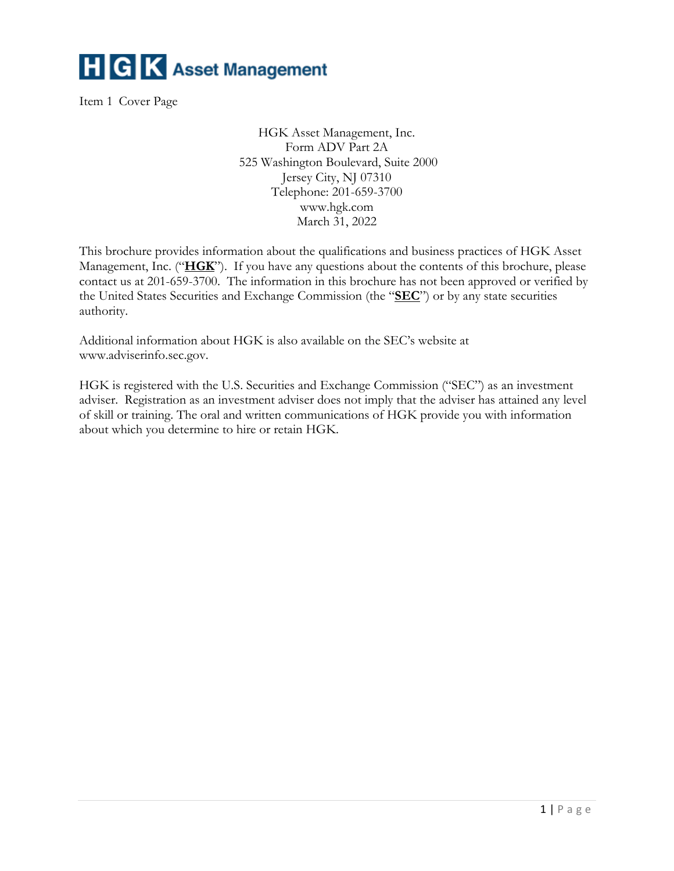

<span id="page-0-0"></span>Item 1 Cover Page

HGK Asset Management, Inc. Form ADV Part 2A 525 Washington Boulevard, Suite 2000 Jersey City, NJ 07310 Telephone: 201-659-3700 www.hgk.com March 31, 2022

This brochure provides information about the qualifications and business practices of HGK Asset Management, Inc. ("**HGK**"). If you have any questions about the contents of this brochure, please contact us at 201-659-3700. The information in this brochure has not been approved or verified by the United States Securities and Exchange Commission (the "**SEC**") or by any state securities authority.

Additional information about HGK is also available on the SEC's website at www.adviserinfo.sec.gov.

HGK is registered with the U.S. Securities and Exchange Commission ("SEC") as an investment adviser. Registration as an investment adviser does not imply that the adviser has attained any level of skill or training. The oral and written communications of HGK provide you with information about which you determine to hire or retain HGK.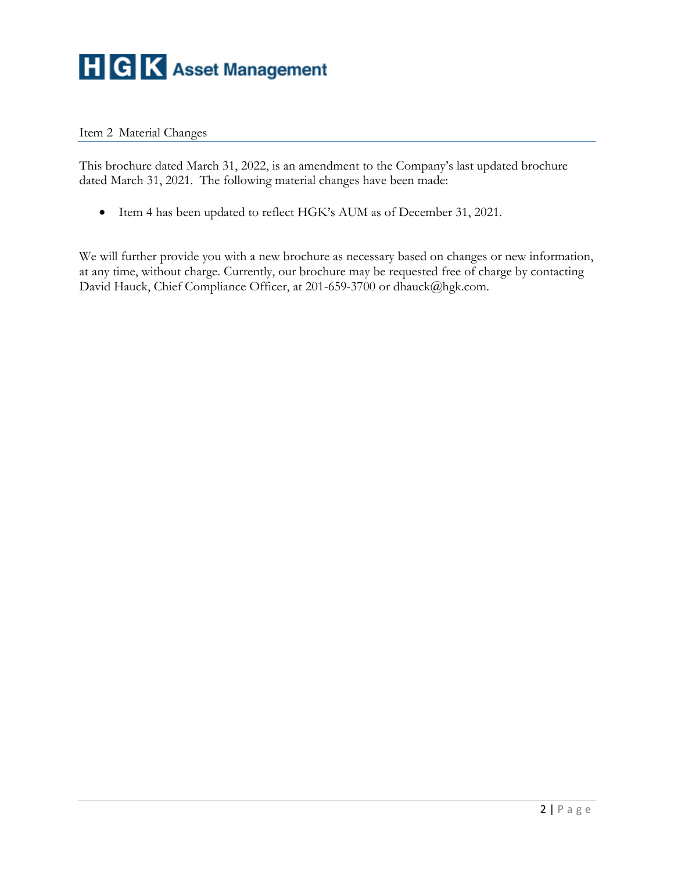

#### <span id="page-1-0"></span>Item 2 Material Changes

This brochure dated March 31, 2022, is an amendment to the Company's last updated brochure dated March 31, 2021. The following material changes have been made:

• Item 4 has been updated to reflect HGK's AUM as of December 31, 2021.

We will further provide you with a new brochure as necessary based on changes or new information, at any time, without charge. Currently, our brochure may be requested free of charge by contacting David Hauck, Chief Compliance Officer, at 201-659-3700 or dhauck@hgk.com.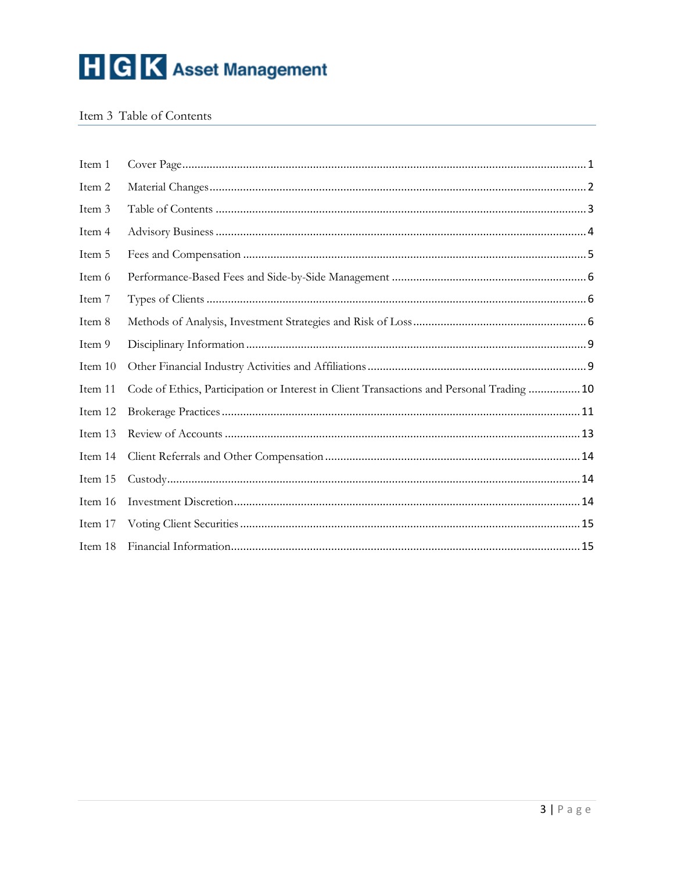

#### <span id="page-2-0"></span>Item 3 Table of Contents

| Item 1  |                                                                                           |
|---------|-------------------------------------------------------------------------------------------|
| Item 2  |                                                                                           |
| Item 3  |                                                                                           |
| Item 4  |                                                                                           |
| Item 5  |                                                                                           |
| Item 6  |                                                                                           |
| Item 7  |                                                                                           |
| Item 8  |                                                                                           |
| Item 9  |                                                                                           |
| Item 10 |                                                                                           |
| Item 11 | Code of Ethics, Participation or Interest in Client Transactions and Personal Trading  10 |
| Item 12 |                                                                                           |
| Item 13 |                                                                                           |
| Item 14 |                                                                                           |
| Item 15 |                                                                                           |
| Item 16 |                                                                                           |
| Item 17 |                                                                                           |
| Item 18 |                                                                                           |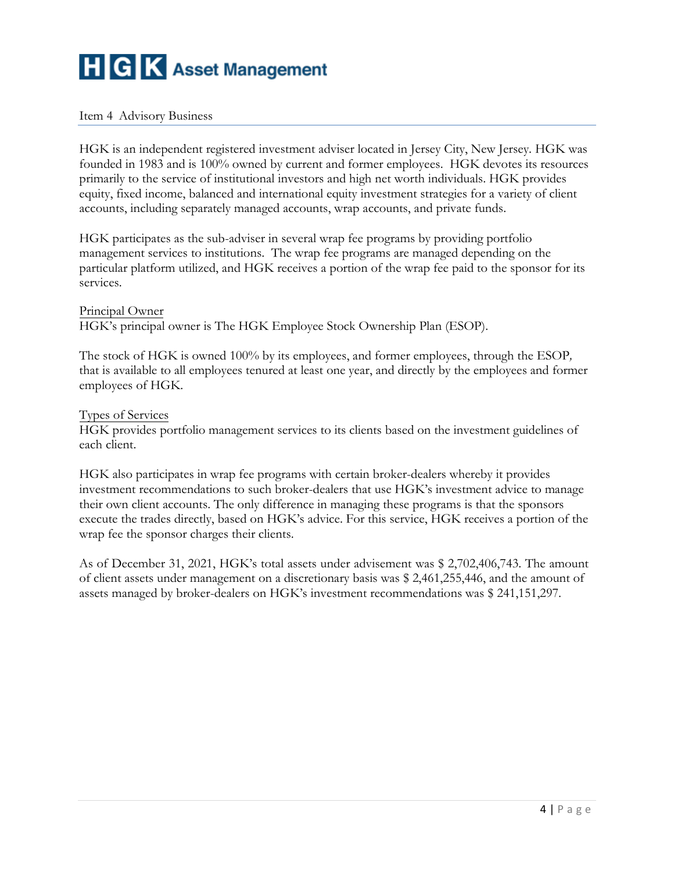#### <span id="page-3-0"></span>Item 4 Advisory Business

HGK is an independent registered investment adviser located in Jersey City, New Jersey. HGK was founded in 1983 and is 100% owned by current and former employees. HGK devotes its resources primarily to the service of institutional investors and high net worth individuals. HGK provides equity, fixed income, balanced and international equity investment strategies for a variety of client accounts, including separately managed accounts, wrap accounts, and private funds.

HGK participates as the sub-adviser in several wrap fee programs by providing portfolio management services to institutions. The wrap fee programs are managed depending on the particular platform utilized, and HGK receives a portion of the wrap fee paid to the sponsor for its services.

#### Principal Owner

HGK's principal owner is The HGK Employee Stock Ownership Plan (ESOP).

The stock of HGK is owned 100% by its employees, and former employees, through the ESOP*,* that is available to all employees tenured at least one year, and directly by the employees and former employees of HGK.

#### Types of Services

HGK provides portfolio management services to its clients based on the investment guidelines of each client.

HGK also participates in wrap fee programs with certain broker-dealers whereby it provides investment recommendations to such broker-dealers that use HGK's investment advice to manage their own client accounts. The only difference in managing these programs is that the sponsors execute the trades directly, based on HGK's advice. For this service, HGK receives a portion of the wrap fee the sponsor charges their clients.

As of December 31, 2021, HGK's total assets under advisement was \$ 2,702,406,743. The amount of client assets under management on a discretionary basis was \$ 2,461,255,446, and the amount of assets managed by broker-dealers on HGK's investment recommendations was \$ 241,151,297.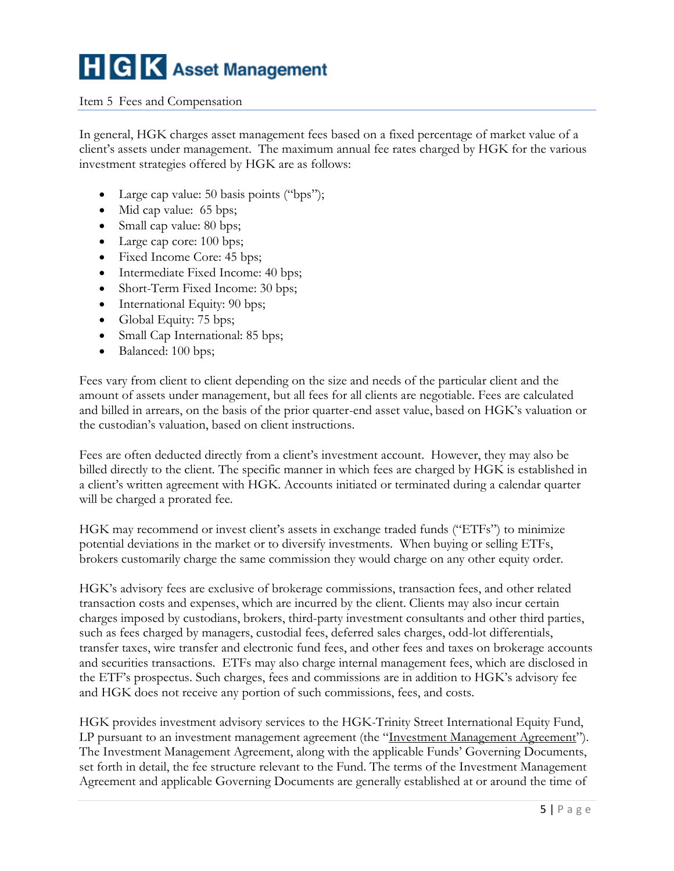#### <span id="page-4-0"></span>Item 5 Fees and Compensation

In general, HGK charges asset management fees based on a fixed percentage of market value of a client's assets under management. The maximum annual fee rates charged by HGK for the various investment strategies offered by HGK are as follows:

- Large cap value: 50 basis points ("bps");
- Mid cap value: 65 bps;
- Small cap value: 80 bps;
- Large cap core: 100 bps;
- Fixed Income Core: 45 bps;
- Intermediate Fixed Income: 40 bps;
- Short-Term Fixed Income: 30 bps;
- International Equity: 90 bps;
- Global Equity: 75 bps;
- Small Cap International: 85 bps;
- Balanced: 100 bps;

Fees vary from client to client depending on the size and needs of the particular client and the amount of assets under management, but all fees for all clients are negotiable. Fees are calculated and billed in arrears, on the basis of the prior quarter-end asset value, based on HGK's valuation or the custodian's valuation, based on client instructions.

Fees are often deducted directly from a client's investment account. However, they may also be billed directly to the client. The specific manner in which fees are charged by HGK is established in a client's written agreement with HGK. Accounts initiated or terminated during a calendar quarter will be charged a prorated fee.

HGK may recommend or invest client's assets in exchange traded funds ("ETFs") to minimize potential deviations in the market or to diversify investments. When buying or selling ETFs, brokers customarily charge the same commission they would charge on any other equity order.

HGK's advisory fees are exclusive of brokerage commissions, transaction fees, and other related transaction costs and expenses, which are incurred by the client. Clients may also incur certain charges imposed by custodians, brokers, third-party investment consultants and other third parties, such as fees charged by managers, custodial fees, deferred sales charges, odd-lot differentials, transfer taxes, wire transfer and electronic fund fees, and other fees and taxes on brokerage accounts and securities transactions. ETFs may also charge internal management fees, which are disclosed in the ETF's prospectus. Such charges, fees and commissions are in addition to HGK's advisory fee and HGK does not receive any portion of such commissions, fees, and costs.

HGK provides investment advisory services to the HGK-Trinity Street International Equity Fund, LP pursuant to an investment management agreement (the "Investment Management Agreement"). The Investment Management Agreement, along with the applicable Funds' Governing Documents, set forth in detail, the fee structure relevant to the Fund. The terms of the Investment Management Agreement and applicable Governing Documents are generally established at or around the time of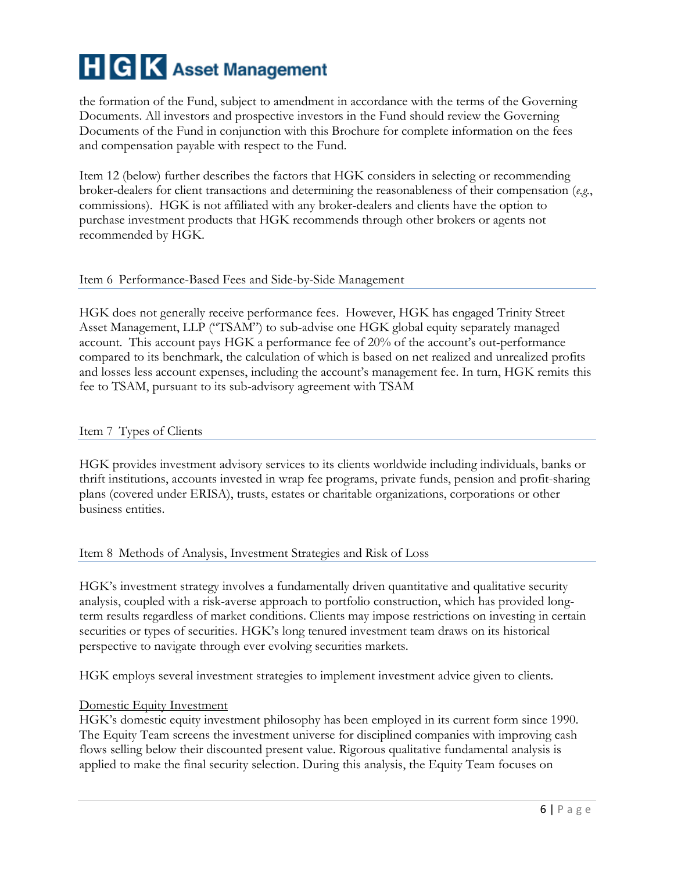the formation of the Fund, subject to amendment in accordance with the terms of the Governing Documents. All investors and prospective investors in the Fund should review the Governing Documents of the Fund in conjunction with this Brochure for complete information on the fees and compensation payable with respect to the Fund.

Item 12 (below) further describes the factors that HGK considers in selecting or recommending broker-dealers for client transactions and determining the reasonableness of their compensation (*e.g.*, commissions). HGK is not affiliated with any broker-dealers and clients have the option to purchase investment products that HGK recommends through other brokers or agents not recommended by HGK.

#### <span id="page-5-0"></span>Item 6 Performance-Based Fees and Side-by-Side Management

HGK does not generally receive performance fees. However, HGK has engaged Trinity Street Asset Management, LLP ("TSAM") to sub-advise one HGK global equity separately managed account. This account pays HGK a performance fee of 20% of the account's out-performance compared to its benchmark, the calculation of which is based on net realized and unrealized profits and losses less account expenses, including the account's management fee. In turn, HGK remits this fee to TSAM, pursuant to its sub-advisory agreement with TSAM

#### <span id="page-5-1"></span>Item 7 Types of Clients

HGK provides investment advisory services to its clients worldwide including individuals, banks or thrift institutions, accounts invested in wrap fee programs, private funds, pension and profit-sharing plans (covered under ERISA), trusts, estates or charitable organizations, corporations or other business entities.

#### <span id="page-5-2"></span>Item 8 Methods of Analysis, Investment Strategies and Risk of Loss

HGK's investment strategy involves a fundamentally driven quantitative and qualitative security analysis, coupled with a risk-averse approach to portfolio construction, which has provided longterm results regardless of market conditions. Clients may impose restrictions on investing in certain securities or types of securities. HGK's long tenured investment team draws on its historical perspective to navigate through ever evolving securities markets.

HGK employs several investment strategies to implement investment advice given to clients.

#### Domestic Equity Investment

HGK's domestic equity investment philosophy has been employed in its current form since 1990. The Equity Team screens the investment universe for disciplined companies with improving cash flows selling below their discounted present value. Rigorous qualitative fundamental analysis is applied to make the final security selection. During this analysis, the Equity Team focuses on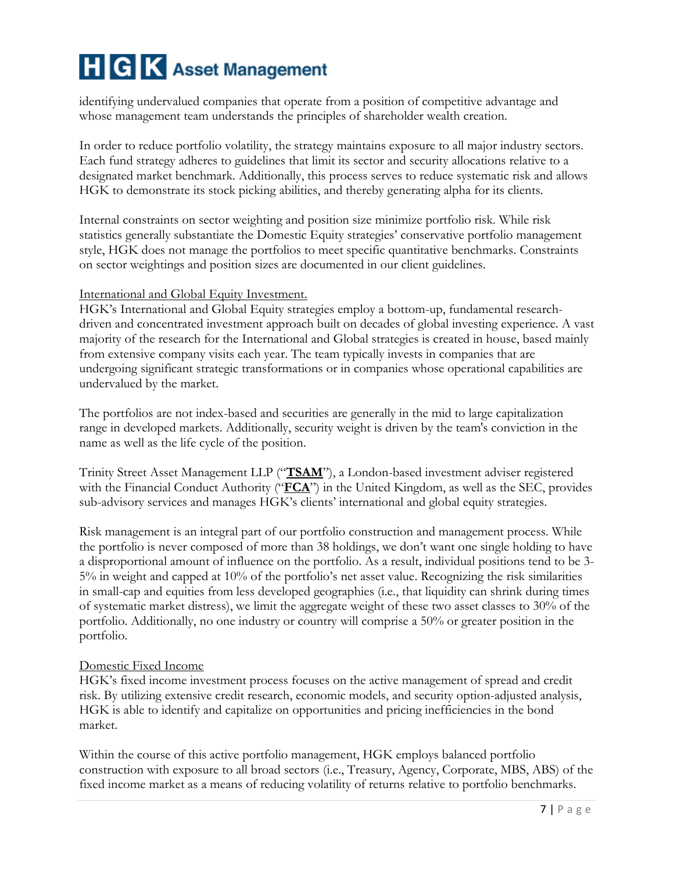identifying undervalued companies that operate from a position of competitive advantage and whose management team understands the principles of shareholder wealth creation.

In order to reduce portfolio volatility, the strategy maintains exposure to all major industry sectors. Each fund strategy adheres to guidelines that limit its sector and security allocations relative to a designated market benchmark. Additionally, this process serves to reduce systematic risk and allows HGK to demonstrate its stock picking abilities, and thereby generating alpha for its clients.

Internal constraints on sector weighting and position size minimize portfolio risk. While risk statistics generally substantiate the Domestic Equity strategies' conservative portfolio management style, HGK does not manage the portfolios to meet specific quantitative benchmarks. Constraints on sector weightings and position sizes are documented in our client guidelines.

#### International and Global Equity Investment.

HGK's International and Global Equity strategies employ a bottom-up, fundamental researchdriven and concentrated investment approach built on decades of global investing experience. A vast majority of the research for the International and Global strategies is created in house, based mainly from extensive company visits each year. The team typically invests in companies that are undergoing significant strategic transformations or in companies whose operational capabilities are undervalued by the market.

The portfolios are not index-based and securities are generally in the mid to large capitalization range in developed markets. Additionally, security weight is driven by the team's conviction in the name as well as the life cycle of the position.

Trinity Street Asset Management LLP ("**TSAM**"), a London-based investment adviser registered with the Financial Conduct Authority ("**FCA**") in the United Kingdom, as well as the SEC, provides sub-advisory services and manages HGK's clients' international and global equity strategies.

Risk management is an integral part of our portfolio construction and management process. While the portfolio is never composed of more than 38 holdings, we don't want one single holding to have a disproportional amount of influence on the portfolio. As a result, individual positions tend to be 3- 5% in weight and capped at 10% of the portfolio's net asset value. Recognizing the risk similarities in small-cap and equities from less developed geographies (i.e., that liquidity can shrink during times of systematic market distress), we limit the aggregate weight of these two asset classes to 30% of the portfolio. Additionally, no one industry or country will comprise a 50% or greater position in the portfolio.

#### Domestic Fixed Income

HGK's fixed income investment process focuses on the active management of spread and credit risk. By utilizing extensive credit research, economic models, and security option-adjusted analysis, HGK is able to identify and capitalize on opportunities and pricing inefficiencies in the bond market.

Within the course of this active portfolio management, HGK employs balanced portfolio construction with exposure to all broad sectors (i.e., Treasury, Agency, Corporate, MBS, ABS) of the fixed income market as a means of reducing volatility of returns relative to portfolio benchmarks.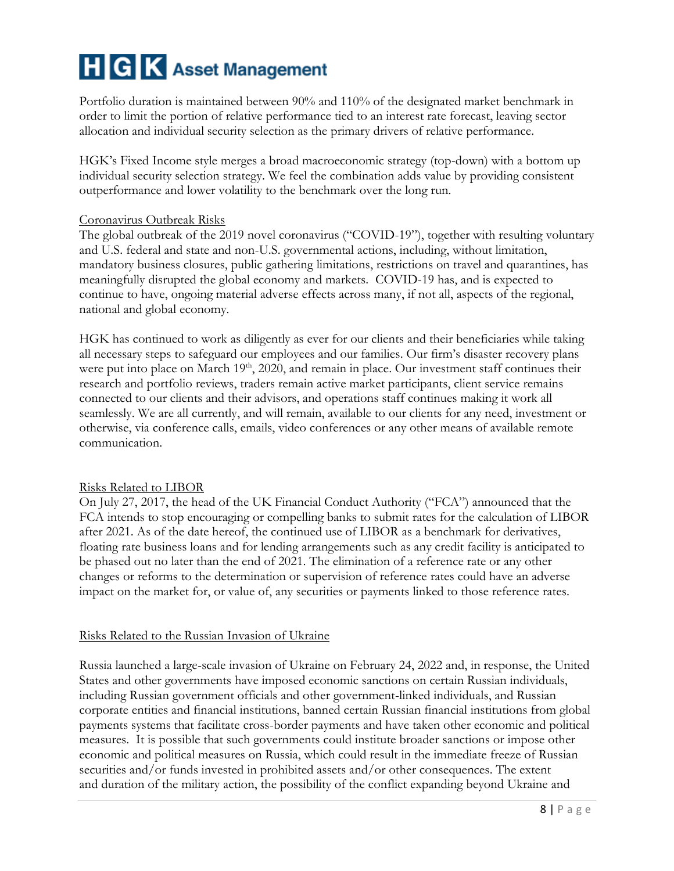Portfolio duration is maintained between 90% and 110% of the designated market benchmark in order to limit the portion of relative performance tied to an interest rate forecast, leaving sector allocation and individual security selection as the primary drivers of relative performance.

HGK's Fixed Income style merges a broad macroeconomic strategy (top-down) with a bottom up individual security selection strategy. We feel the combination adds value by providing consistent outperformance and lower volatility to the benchmark over the long run.

#### Coronavirus Outbreak Risks

The global outbreak of the 2019 novel coronavirus ("COVID-19"), together with resulting voluntary and U.S. federal and state and non-U.S. governmental actions, including, without limitation, mandatory business closures, public gathering limitations, restrictions on travel and quarantines, has meaningfully disrupted the global economy and markets. COVID-19 has, and is expected to continue to have, ongoing material adverse effects across many, if not all, aspects of the regional, national and global economy.

HGK has continued to work as diligently as ever for our clients and their beneficiaries while taking all necessary steps to safeguard our employees and our families. Our firm's disaster recovery plans were put into place on March 19<sup>th</sup>, 2020, and remain in place. Our investment staff continues their research and portfolio reviews, traders remain active market participants, client service remains connected to our clients and their advisors, and operations staff continues making it work all seamlessly. We are all currently, and will remain, available to our clients for any need, investment or otherwise, via conference calls, emails, video conferences or any other means of available remote communication.

#### Risks Related to LIBOR

On July 27, 2017, the head of the UK Financial Conduct Authority ("FCA") announced that the FCA intends to stop encouraging or compelling banks to submit rates for the calculation of LIBOR after 2021. As of the date hereof, the continued use of LIBOR as a benchmark for derivatives, floating rate business loans and for lending arrangements such as any credit facility is anticipated to be phased out no later than the end of 2021. The elimination of a reference rate or any other changes or reforms to the determination or supervision of reference rates could have an adverse impact on the market for, or value of, any securities or payments linked to those reference rates.

#### Risks Related to the Russian Invasion of Ukraine

Russia launched a large-scale invasion of Ukraine on February 24, 2022 and, in response, the United States and other governments have imposed economic sanctions on certain Russian individuals, including Russian government officials and other government-linked individuals, and Russian corporate entities and financial institutions, banned certain Russian financial institutions from global payments systems that facilitate cross-border payments and have taken other economic and political measures. It is possible that such governments could institute broader sanctions or impose other economic and political measures on Russia, which could result in the immediate freeze of Russian securities and/or funds invested in prohibited assets and/or other consequences. The extent and duration of the military action, the possibility of the conflict expanding beyond Ukraine and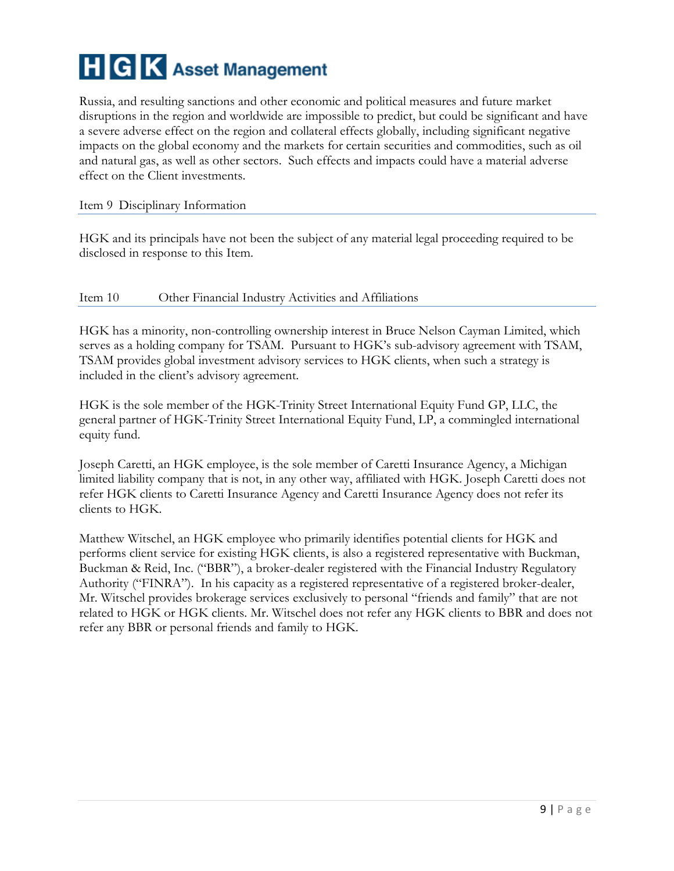Russia, and resulting sanctions and other economic and political measures and future market disruptions in the region and worldwide are impossible to predict, but could be significant and have a severe adverse effect on the region and collateral effects globally, including significant negative impacts on the global economy and the markets for certain securities and commodities, such as oil and natural gas, as well as other sectors. Such effects and impacts could have a material adverse effect on the Client investments.

#### <span id="page-8-0"></span>Item 9 Disciplinary Information

HGK and its principals have not been the subject of any material legal proceeding required to be disclosed in response to this Item.

#### <span id="page-8-1"></span>Item 10 Other Financial Industry Activities and Affiliations

HGK has a minority, non-controlling ownership interest in Bruce Nelson Cayman Limited, which serves as a holding company for TSAM. Pursuant to HGK's sub-advisory agreement with TSAM, TSAM provides global investment advisory services to HGK clients, when such a strategy is included in the client's advisory agreement.

HGK is the sole member of the HGK-Trinity Street International Equity Fund GP, LLC, the general partner of HGK-Trinity Street International Equity Fund, LP, a commingled international equity fund.

Joseph Caretti, an HGK employee, is the sole member of Caretti Insurance Agency, a Michigan limited liability company that is not, in any other way, affiliated with HGK. Joseph Caretti does not refer HGK clients to Caretti Insurance Agency and Caretti Insurance Agency does not refer its clients to HGK.

<span id="page-8-2"></span>Matthew Witschel, an HGK employee who primarily identifies potential clients for HGK and performs client service for existing HGK clients, is also a registered representative with Buckman, Buckman & Reid, Inc. ("BBR"), a broker-dealer registered with the Financial Industry Regulatory Authority ("FINRA"). In his capacity as a registered representative of a registered broker-dealer, Mr. Witschel provides brokerage services exclusively to personal "friends and family" that are not related to HGK or HGK clients. Mr. Witschel does not refer any HGK clients to BBR and does not refer any BBR or personal friends and family to HGK.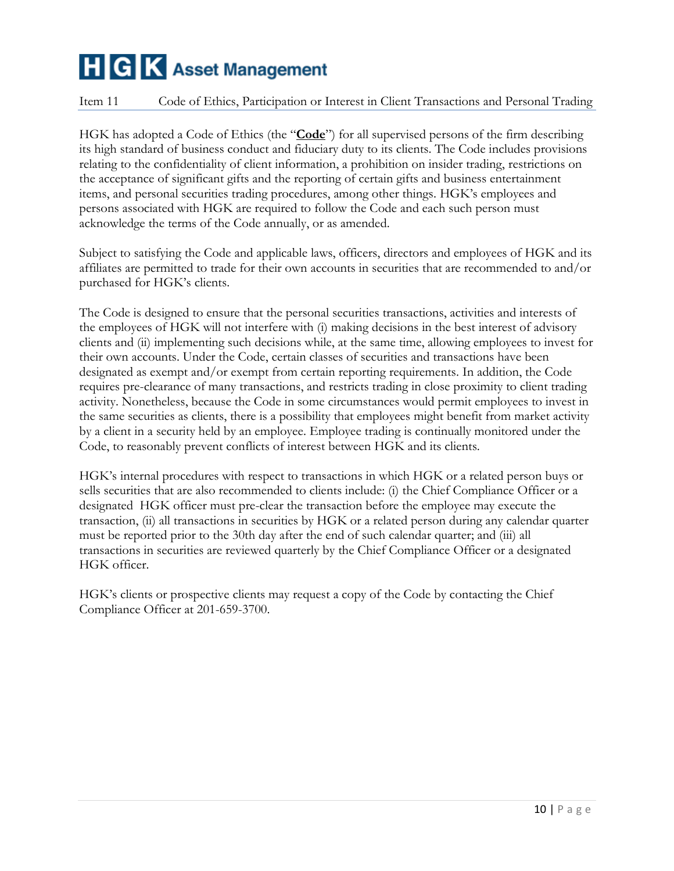#### Item 11 Code of Ethics, Participation or Interest in Client Transactions and Personal Trading

HGK has adopted a Code of Ethics (the "**Code**") for all supervised persons of the firm describing its high standard of business conduct and fiduciary duty to its clients. The Code includes provisions relating to the confidentiality of client information, a prohibition on insider trading, restrictions on the acceptance of significant gifts and the reporting of certain gifts and business entertainment items, and personal securities trading procedures, among other things. HGK's employees and persons associated with HGK are required to follow the Code and each such person must acknowledge the terms of the Code annually, or as amended.

Subject to satisfying the Code and applicable laws, officers, directors and employees of HGK and its affiliates are permitted to trade for their own accounts in securities that are recommended to and/or purchased for HGK's clients.

The Code is designed to ensure that the personal securities transactions, activities and interests of the employees of HGK will not interfere with (i) making decisions in the best interest of advisory clients and (ii) implementing such decisions while, at the same time, allowing employees to invest for their own accounts. Under the Code, certain classes of securities and transactions have been designated as exempt and/or exempt from certain reporting requirements. In addition, the Code requires pre-clearance of many transactions, and restricts trading in close proximity to client trading activity. Nonetheless, because the Code in some circumstances would permit employees to invest in the same securities as clients, there is a possibility that employees might benefit from market activity by a client in a security held by an employee. Employee trading is continually monitored under the Code, to reasonably prevent conflicts of interest between HGK and its clients.

HGK's internal procedures with respect to transactions in which HGK or a related person buys or sells securities that are also recommended to clients include: (i) the Chief Compliance Officer or a designated HGK officer must pre-clear the transaction before the employee may execute the transaction, (ii) all transactions in securities by HGK or a related person during any calendar quarter must be reported prior to the 30th day after the end of such calendar quarter; and (iii) all transactions in securities are reviewed quarterly by the Chief Compliance Officer or a designated HGK officer.

<span id="page-9-0"></span>HGK's clients or prospective clients may request a copy of the Code by contacting the Chief Compliance Officer at 201-659-3700.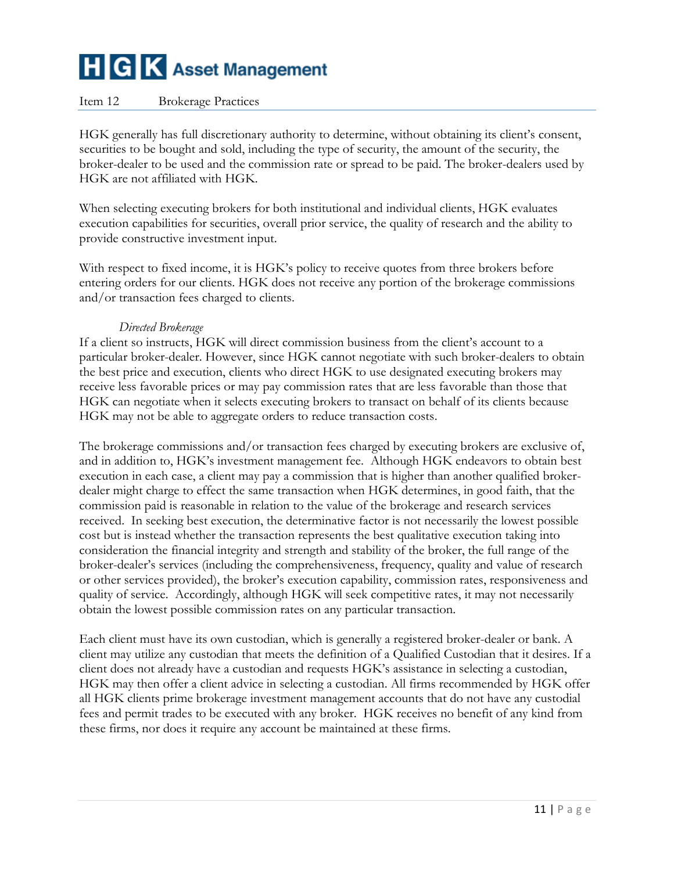#### Item 12 Brokerage Practices

HGK generally has full discretionary authority to determine, without obtaining its client's consent, securities to be bought and sold, including the type of security, the amount of the security, the broker-dealer to be used and the commission rate or spread to be paid. The broker-dealers used by HGK are not affiliated with HGK.

When selecting executing brokers for both institutional and individual clients, HGK evaluates execution capabilities for securities, overall prior service, the quality of research and the ability to provide constructive investment input.

With respect to fixed income, it is HGK's policy to receive quotes from three brokers before entering orders for our clients. HGK does not receive any portion of the brokerage commissions and/or transaction fees charged to clients.

#### *Directed Brokerage*

If a client so instructs, HGK will direct commission business from the client's account to a particular broker-dealer. However, since HGK cannot negotiate with such broker-dealers to obtain the best price and execution, clients who direct HGK to use designated executing brokers may receive less favorable prices or may pay commission rates that are less favorable than those that HGK can negotiate when it selects executing brokers to transact on behalf of its clients because HGK may not be able to aggregate orders to reduce transaction costs.

The brokerage commissions and/or transaction fees charged by executing brokers are exclusive of, and in addition to, HGK's investment management fee. Although HGK endeavors to obtain best execution in each case, a client may pay a commission that is higher than another qualified brokerdealer might charge to effect the same transaction when HGK determines, in good faith, that the commission paid is reasonable in relation to the value of the brokerage and research services received. In seeking best execution, the determinative factor is not necessarily the lowest possible cost but is instead whether the transaction represents the best qualitative execution taking into consideration the financial integrity and strength and stability of the broker, the full range of the broker-dealer's services (including the comprehensiveness, frequency, quality and value of research or other services provided), the broker's execution capability, commission rates, responsiveness and quality of service. Accordingly, although HGK will seek competitive rates, it may not necessarily obtain the lowest possible commission rates on any particular transaction.

Each client must have its own custodian, which is generally a registered broker-dealer or bank. A client may utilize any custodian that meets the definition of a Qualified Custodian that it desires. If a client does not already have a custodian and requests HGK's assistance in selecting a custodian, HGK may then offer a client advice in selecting a custodian. All firms recommended by HGK offer all HGK clients prime brokerage investment management accounts that do not have any custodial fees and permit trades to be executed with any broker. HGK receives no benefit of any kind from these firms, nor does it require any account be maintained at these firms.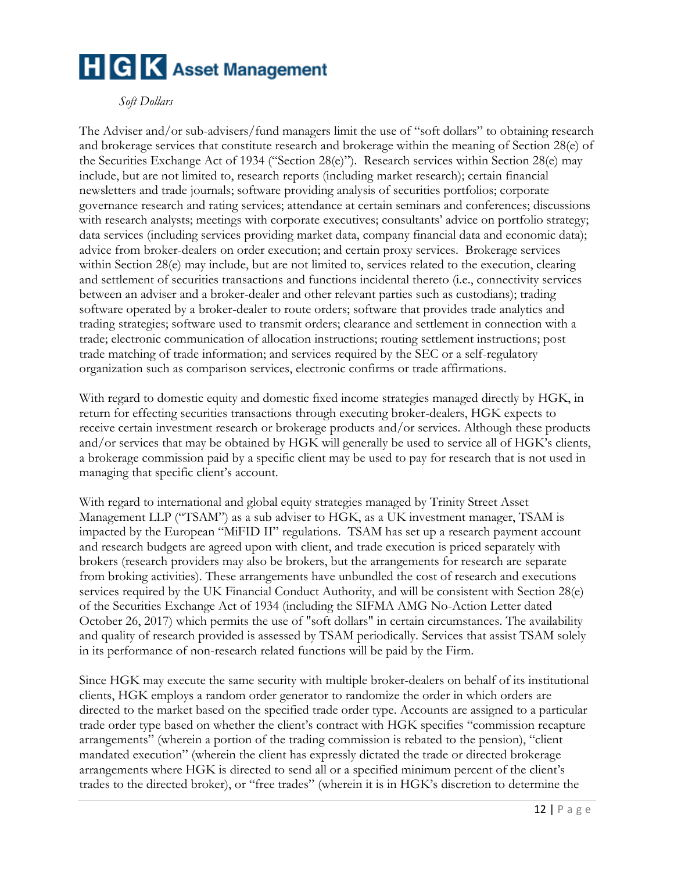#### *Soft Dollars*

The Adviser and/or sub-advisers/fund managers limit the use of "soft dollars" to obtaining research and brokerage services that constitute research and brokerage within the meaning of Section 28(e) of the Securities Exchange Act of 1934 ("Section 28(e)"). Research services within Section 28(e) may include, but are not limited to, research reports (including market research); certain financial newsletters and trade journals; software providing analysis of securities portfolios; corporate governance research and rating services; attendance at certain seminars and conferences; discussions with research analysts; meetings with corporate executives; consultants' advice on portfolio strategy; data services (including services providing market data, company financial data and economic data); advice from broker-dealers on order execution; and certain proxy services. Brokerage services within Section 28(e) may include, but are not limited to, services related to the execution, clearing and settlement of securities transactions and functions incidental thereto (i.e., connectivity services between an adviser and a broker-dealer and other relevant parties such as custodians); trading software operated by a broker-dealer to route orders; software that provides trade analytics and trading strategies; software used to transmit orders; clearance and settlement in connection with a trade; electronic communication of allocation instructions; routing settlement instructions; post trade matching of trade information; and services required by the SEC or a self-regulatory organization such as comparison services, electronic confirms or trade affirmations.

With regard to domestic equity and domestic fixed income strategies managed directly by HGK, in return for effecting securities transactions through executing broker-dealers, HGK expects to receive certain investment research or brokerage products and/or services. Although these products and/or services that may be obtained by HGK will generally be used to service all of HGK's clients, a brokerage commission paid by a specific client may be used to pay for research that is not used in managing that specific client's account.

With regard to international and global equity strategies managed by Trinity Street Asset Management LLP ("TSAM") as a sub adviser to HGK, as a UK investment manager, TSAM is impacted by the European "MiFID II" regulations. TSAM has set up a research payment account and research budgets are agreed upon with client, and trade execution is priced separately with brokers (research providers may also be brokers, but the arrangements for research are separate from broking activities). These arrangements have unbundled the cost of research and executions services required by the UK Financial Conduct Authority, and will be consistent with Section 28(e) of the Securities Exchange Act of 1934 (including the SIFMA AMG No-Action Letter dated October 26, 2017) which permits the use of "soft dollars" in certain circumstances. The availability and quality of research provided is assessed by TSAM periodically. Services that assist TSAM solely in its performance of non-research related functions will be paid by the Firm.

Since HGK may execute the same security with multiple broker-dealers on behalf of its institutional clients, HGK employs a random order generator to randomize the order in which orders are directed to the market based on the specified trade order type. Accounts are assigned to a particular trade order type based on whether the client's contract with HGK specifies "commission recapture arrangements" (wherein a portion of the trading commission is rebated to the pension), "client mandated execution" (wherein the client has expressly dictated the trade or directed brokerage arrangements where HGK is directed to send all or a specified minimum percent of the client's trades to the directed broker), or "free trades" (wherein it is in HGK's discretion to determine the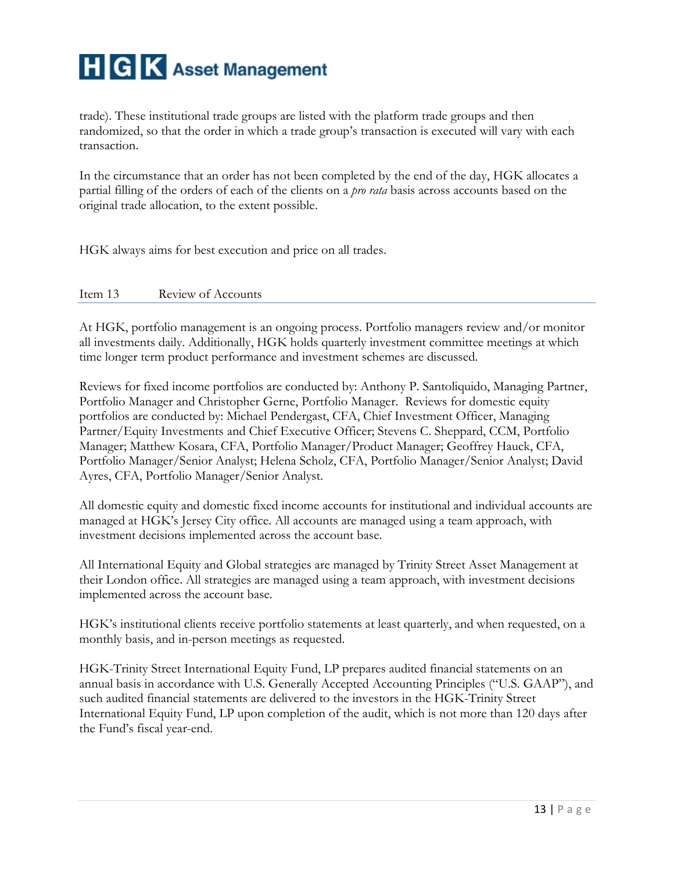

trade). These institutional trade groups are listed with the platform trade groups and then randomized, so that the order in which a trade group's transaction is executed will vary with each transaction.

In the circumstance that an order has not been completed by the end of the day, HGK allocates a partial filling of the orders of each of the clients on a *pro rata* basis across accounts based on the original trade allocation, to the extent possible.

HGK always aims for best execution and price on all trades.

#### <span id="page-12-0"></span>Item 13 Review of Accounts

At HGK, portfolio management is an ongoing process. Portfolio managers review and/or monitor all investments daily. Additionally, HGK holds quarterly investment committee meetings at which time longer term product performance and investment schemes are discussed.

Reviews for fixed income portfolios are conducted by: Anthony P. Santoliquido, Managing Partner, Portfolio Manager and Christopher Gerne, Portfolio Manager. Reviews for domestic equity portfolios are conducted by: Michael Pendergast, CFA, Chief Investment Officer, Managing Partner/Equity Investments and Chief Executive Officer; Stevens C. Sheppard, CCM, Portfolio Manager; Matthew Kosara, CFA, Portfolio Manager/Product Manager; Geoffrey Hauck, CFA, Portfolio Manager/Senior Analyst; Helena Scholz, CFA, Portfolio Manager/Senior Analyst; David Ayres, CFA, Portfolio Manager/Senior Analyst.

All domestic equity and domestic fixed income accounts for institutional and individual accounts are managed at HGK's Jersey City office. All accounts are managed using a team approach, with investment decisions implemented across the account base.

All International Equity and Global strategies are managed by Trinity Street Asset Management at their London office. All strategies are managed using a team approach, with investment decisions implemented across the account base.

HGK's institutional clients receive portfolio statements at least quarterly, and when requested, on a monthly basis, and in-person meetings as requested.

HGK-Trinity Street International Equity Fund, LP prepares audited financial statements on an annual basis in accordance with U.S. Generally Accepted Accounting Principles ("U.S. GAAP"), and such audited financial statements are delivered to the investors in the HGK-Trinity Street International Equity Fund, LP upon completion of the audit, which is not more than 120 days after the Fund's fiscal year-end.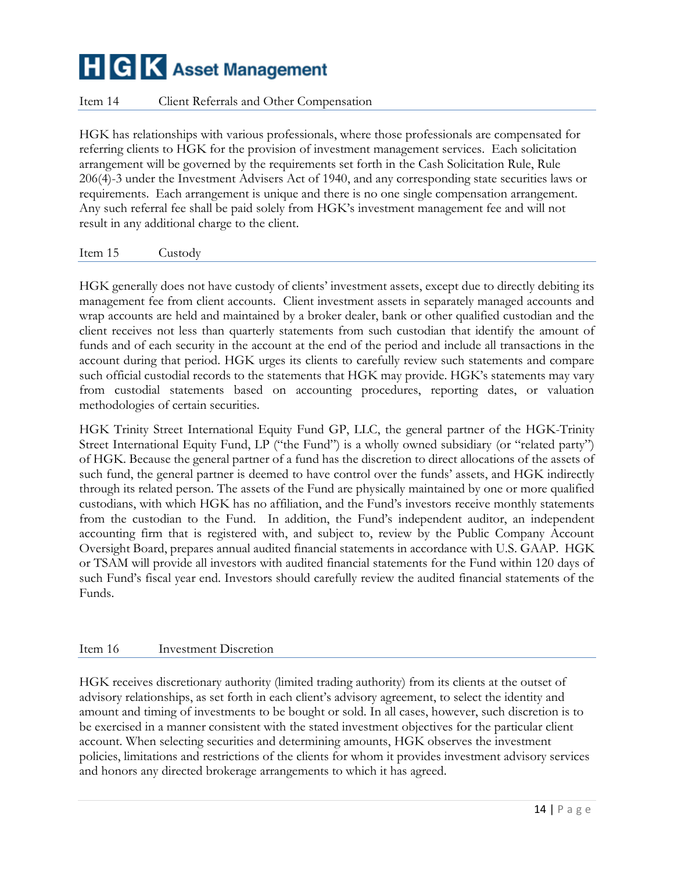#### <span id="page-13-0"></span>Item 14 Client Referrals and Other Compensation

HGK has relationships with various professionals, where those professionals are compensated for referring clients to HGK for the provision of investment management services. Each solicitation arrangement will be governed by the requirements set forth in the Cash Solicitation Rule, Rule 206(4)-3 under the Investment Advisers Act of 1940, and any corresponding state securities laws or requirements. Each arrangement is unique and there is no one single compensation arrangement. Any such referral fee shall be paid solely from HGK's investment management fee and will not result in any additional charge to the client.

<span id="page-13-1"></span>Item 15 Custody

HGK generally does not have custody of clients' investment assets, except due to directly debiting its management fee from client accounts. Client investment assets in separately managed accounts and wrap accounts are held and maintained by a broker dealer, bank or other qualified custodian and the client receives not less than quarterly statements from such custodian that identify the amount of funds and of each security in the account at the end of the period and include all transactions in the account during that period. HGK urges its clients to carefully review such statements and compare such official custodial records to the statements that HGK may provide. HGK's statements may vary from custodial statements based on accounting procedures, reporting dates, or valuation methodologies of certain securities.

HGK Trinity Street International Equity Fund GP, LLC, the general partner of the HGK-Trinity Street International Equity Fund, LP ("the Fund") is a wholly owned subsidiary (or "related party") of HGK. Because the general partner of a fund has the discretion to direct allocations of the assets of such fund, the general partner is deemed to have control over the funds' assets, and HGK indirectly through its related person. The assets of the Fund are physically maintained by one or more qualified custodians, with which HGK has no affiliation, and the Fund's investors receive monthly statements from the custodian to the Fund. In addition, the Fund's independent auditor, an independent accounting firm that is registered with, and subject to, review by the Public Company Account Oversight Board, prepares annual audited financial statements in accordance with U.S. GAAP. HGK or TSAM will provide all investors with audited financial statements for the Fund within 120 days of such Fund's fiscal year end. Investors should carefully review the audited financial statements of the Funds.

#### <span id="page-13-2"></span>Item 16 Investment Discretion

HGK receives discretionary authority (limited trading authority) from its clients at the outset of advisory relationships, as set forth in each client's advisory agreement, to select the identity and amount and timing of investments to be bought or sold. In all cases, however, such discretion is to be exercised in a manner consistent with the stated investment objectives for the particular client account. When selecting securities and determining amounts, HGK observes the investment policies, limitations and restrictions of the clients for whom it provides investment advisory services and honors any directed brokerage arrangements to which it has agreed.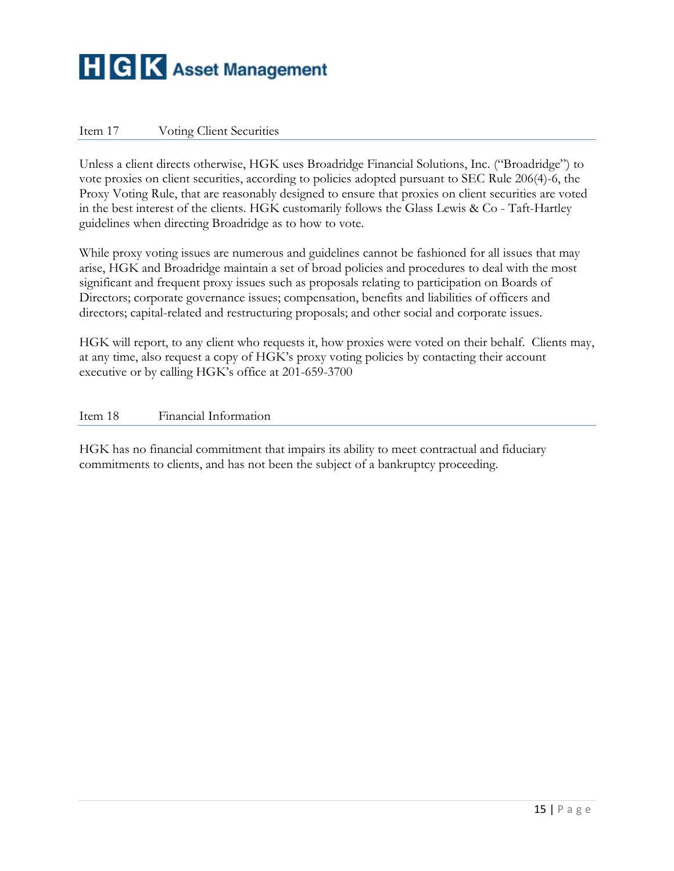#### <span id="page-14-0"></span>Item 17 Voting Client Securities

Unless a client directs otherwise, HGK uses Broadridge Financial Solutions, Inc. ("Broadridge") to vote proxies on client securities, according to policies adopted pursuant to SEC Rule 206(4)-6, the Proxy Voting Rule, that are reasonably designed to ensure that proxies on client securities are voted in the best interest of the clients. HGK customarily follows the Glass Lewis & Co - Taft-Hartley guidelines when directing Broadridge as to how to vote.

While proxy voting issues are numerous and guidelines cannot be fashioned for all issues that may arise, HGK and Broadridge maintain a set of broad policies and procedures to deal with the most significant and frequent proxy issues such as proposals relating to participation on Boards of Directors; corporate governance issues; compensation, benefits and liabilities of officers and directors; capital-related and restructuring proposals; and other social and corporate issues.

HGK will report, to any client who requests it, how proxies were voted on their behalf. Clients may, at any time, also request a copy of HGK's proxy voting policies by contacting their account executive or by calling HGK's office at 201-659-3700

#### <span id="page-14-1"></span>Item 18 Financial Information

HGK has no financial commitment that impairs its ability to meet contractual and fiduciary commitments to clients, and has not been the subject of a bankruptcy proceeding.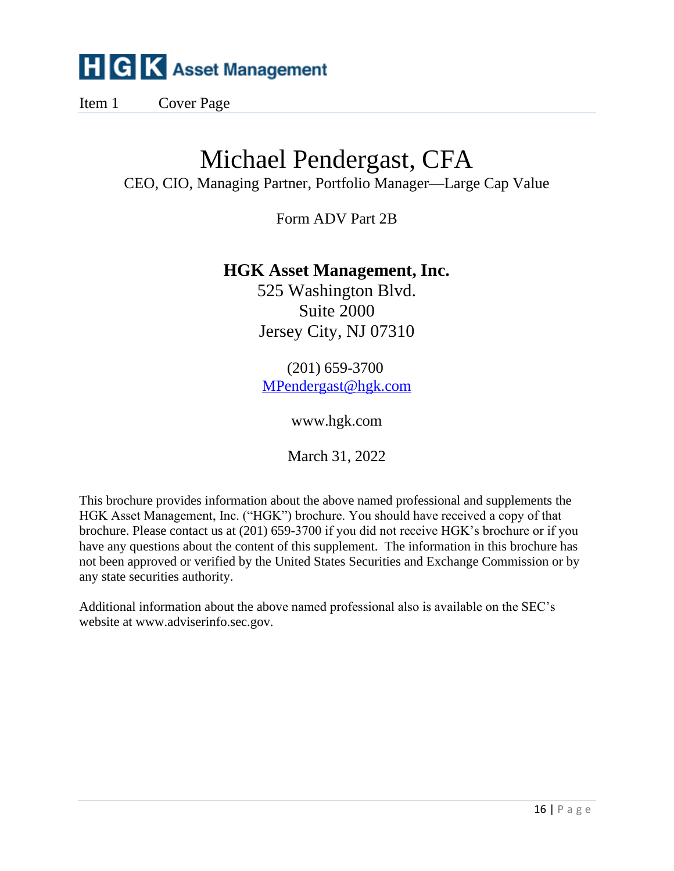Item 1 Cover Page

## Michael Pendergast, CFA

CEO, CIO, Managing Partner, Portfolio Manager—Large Cap Value

Form ADV Part 2B

## **HGK Asset Management, Inc.**

525 Washington Blvd. Suite 2000 Jersey City, NJ 07310

(201) 659-3700 [MPendergast@hgk.com](mailto:MPendergast@hgk.com)

www.hgk.com

March 31, 2022

This brochure provides information about the above named professional and supplements the HGK Asset Management, Inc. ("HGK") brochure. You should have received a copy of that brochure. Please contact us at (201) 659-3700 if you did not receive HGK's brochure or if you have any questions about the content of this supplement. The information in this brochure has not been approved or verified by the United States Securities and Exchange Commission or by any state securities authority.

Additional information about the above named professional also is available on the SEC's website at www.adviserinfo.sec.gov.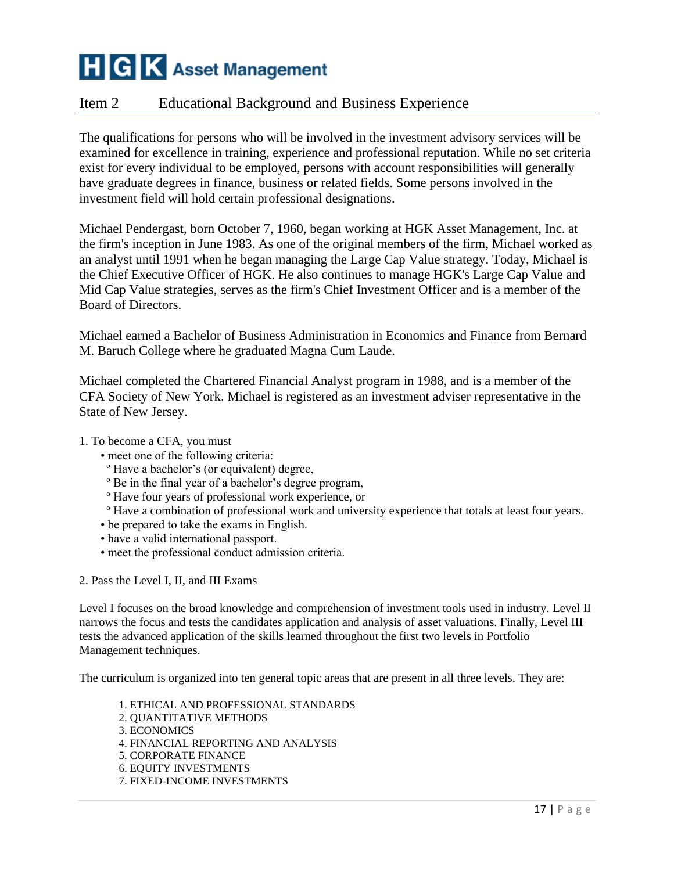## Item 2 Educational Background and Business Experience

The qualifications for persons who will be involved in the investment advisory services will be examined for excellence in training, experience and professional reputation. While no set criteria exist for every individual to be employed, persons with account responsibilities will generally have graduate degrees in finance, business or related fields. Some persons involved in the investment field will hold certain professional designations.

Michael Pendergast, born October 7, 1960, began working at HGK Asset Management, Inc. at the firm's inception in June 1983. As one of the original members of the firm, Michael worked as an analyst until 1991 when he began managing the Large Cap Value strategy. Today, Michael is the Chief Executive Officer of HGK. He also continues to manage HGK's Large Cap Value and Mid Cap Value strategies, serves as the firm's Chief Investment Officer and is a member of the Board of Directors.

Michael earned a Bachelor of Business Administration in Economics and Finance from Bernard M. Baruch College where he graduated Magna Cum Laude.

Michael completed the Chartered Financial Analyst program in 1988, and is a member of the CFA Society of New York. Michael is registered as an investment adviser representative in the State of New Jersey.

- 1. To become a CFA, you must
	- meet one of the following criteria:
	- º Have a bachelor's (or equivalent) degree,
	- º Be in the final year of a bachelor's degree program,
	- º Have four years of professional work experience, or
	- º Have a combination of professional work and university experience that totals at least four years.
	- be prepared to take the exams in English.
	- have a valid international passport.
	- meet the professional conduct admission criteria.
- 2. Pass the Level I, II, and III Exams

Level I focuses on the broad knowledge and comprehension of investment tools used in industry. Level II narrows the focus and tests the candidates application and analysis of asset valuations. Finally, Level III tests the advanced application of the skills learned throughout the first two levels in Portfolio Management techniques.

The curriculum is organized into ten general topic areas that are present in all three levels. They are:

1. ETHICAL AND PROFESSIONAL STANDARDS 2. QUANTITATIVE METHODS 3. ECONOMICS 4. FINANCIAL REPORTING AND ANALYSIS 5. CORPORATE FINANCE 6. EQUITY INVESTMENTS 7. FIXED-INCOME INVESTMENTS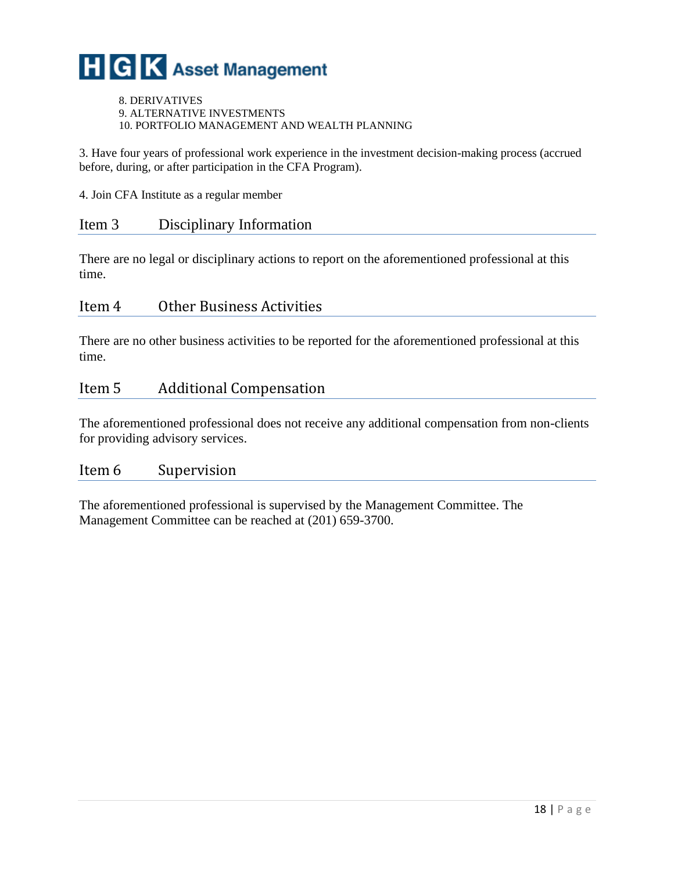8. DERIVATIVES 9. ALTERNATIVE INVESTMENTS 10. PORTFOLIO MANAGEMENT AND WEALTH PLANNING

3. Have four years of professional work experience in the investment decision-making process (accrued before, during, or after participation in the CFA Program).

4. Join CFA Institute as a regular member

#### Item 3 Disciplinary Information

There are no legal or disciplinary actions to report on the aforementioned professional at this time.

#### Item 4 Other Business Activities

There are no other business activities to be reported for the aforementioned professional at this time.

#### Item 5 Additional Compensation

The aforementioned professional does not receive any additional compensation from non-clients for providing advisory services.

#### Item 6 Supervision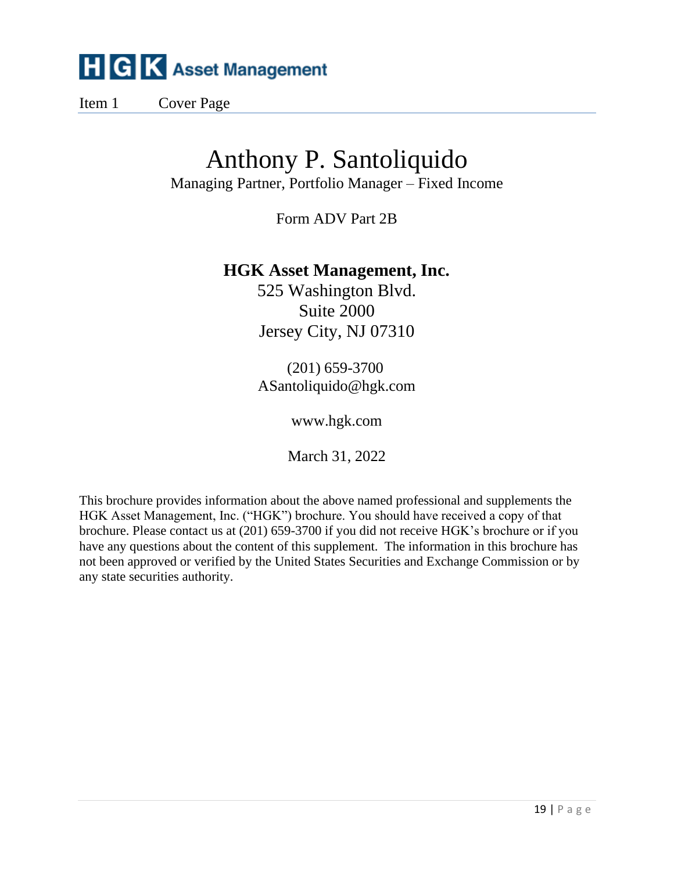Item 1 Cover Page

## Anthony P. Santoliquido

Managing Partner, Portfolio Manager – Fixed Income

Form ADV Part 2B

## **HGK Asset Management, Inc.**

525 Washington Blvd. Suite 2000 Jersey City, NJ 07310

(201) 659-3700 ASantoliquido@hgk.com

www.hgk.com

March 31, 2022

This brochure provides information about the above named professional and supplements the HGK Asset Management, Inc. ("HGK") brochure. You should have received a copy of that brochure. Please contact us at (201) 659-3700 if you did not receive HGK's brochure or if you have any questions about the content of this supplement. The information in this brochure has not been approved or verified by the United States Securities and Exchange Commission or by any state securities authority.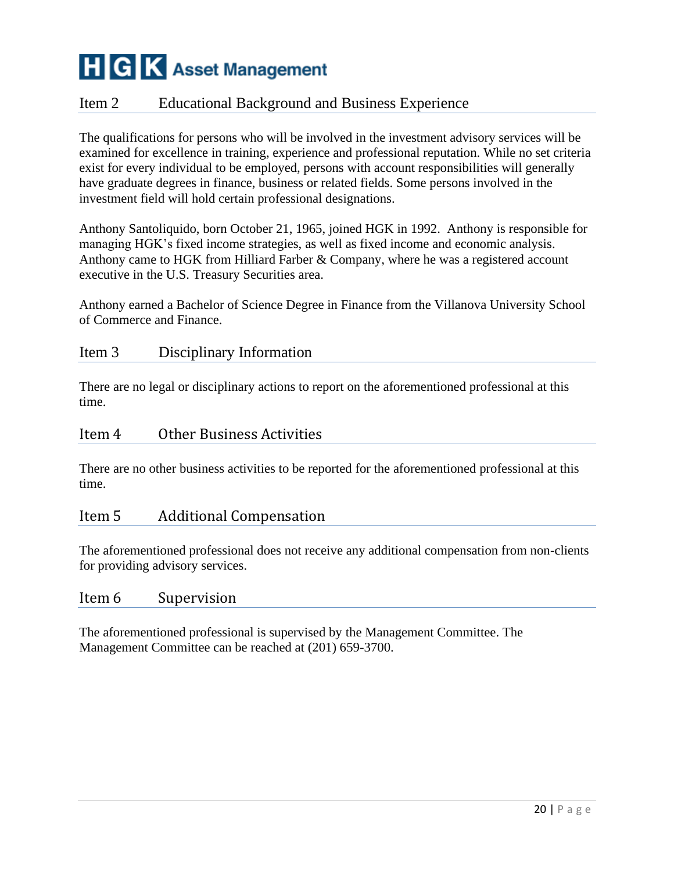## Item 2 Educational Background and Business Experience

The qualifications for persons who will be involved in the investment advisory services will be examined for excellence in training, experience and professional reputation. While no set criteria exist for every individual to be employed, persons with account responsibilities will generally have graduate degrees in finance, business or related fields. Some persons involved in the investment field will hold certain professional designations.

Anthony Santoliquido, born October 21, 1965, joined HGK in 1992. Anthony is responsible for managing HGK's fixed income strategies, as well as fixed income and economic analysis. Anthony came to HGK from Hilliard Farber & Company, where he was a registered account executive in the U.S. Treasury Securities area.

Anthony earned a Bachelor of Science Degree in Finance from the Villanova University School of Commerce and Finance.

#### Item 3 Disciplinary Information

There are no legal or disciplinary actions to report on the aforementioned professional at this time.

#### Item 4 Other Business Activities

There are no other business activities to be reported for the aforementioned professional at this time.

#### Item 5 Additional Compensation

The aforementioned professional does not receive any additional compensation from non-clients for providing advisory services.

#### Item 6 Supervision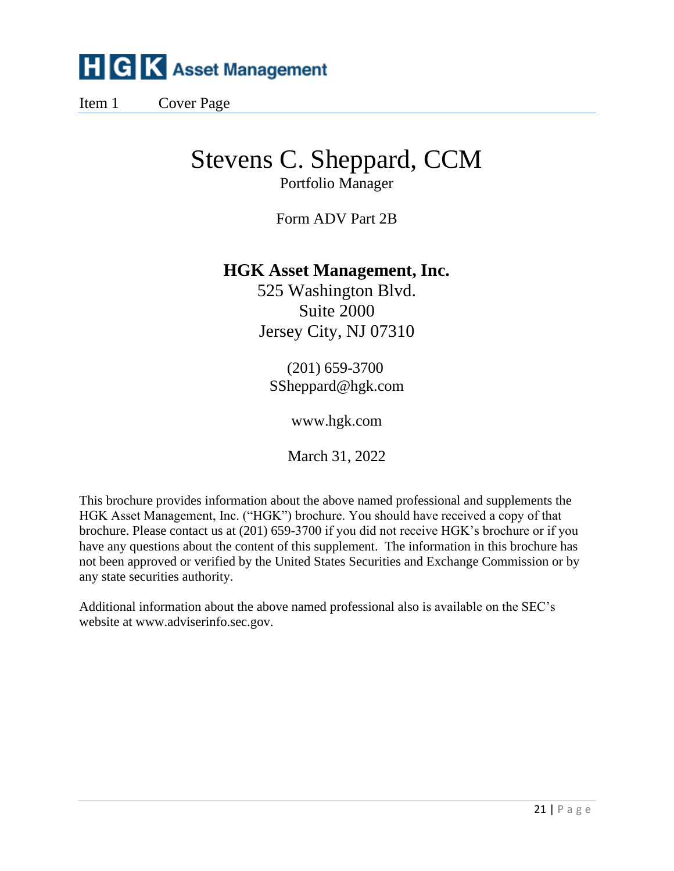Item 1 Cover Page

## Stevens C. Sheppard, CCM

Portfolio Manager

Form ADV Part 2B

## **HGK Asset Management, Inc.**

525 Washington Blvd. Suite 2000 Jersey City, NJ 07310

(201) 659-3700 SSheppard@hgk.com

www.hgk.com

March 31, 2022

This brochure provides information about the above named professional and supplements the HGK Asset Management, Inc. ("HGK") brochure. You should have received a copy of that brochure. Please contact us at (201) 659-3700 if you did not receive HGK's brochure or if you have any questions about the content of this supplement. The information in this brochure has not been approved or verified by the United States Securities and Exchange Commission or by any state securities authority.

Additional information about the above named professional also is available on the SEC's website at www.adviserinfo.sec.gov.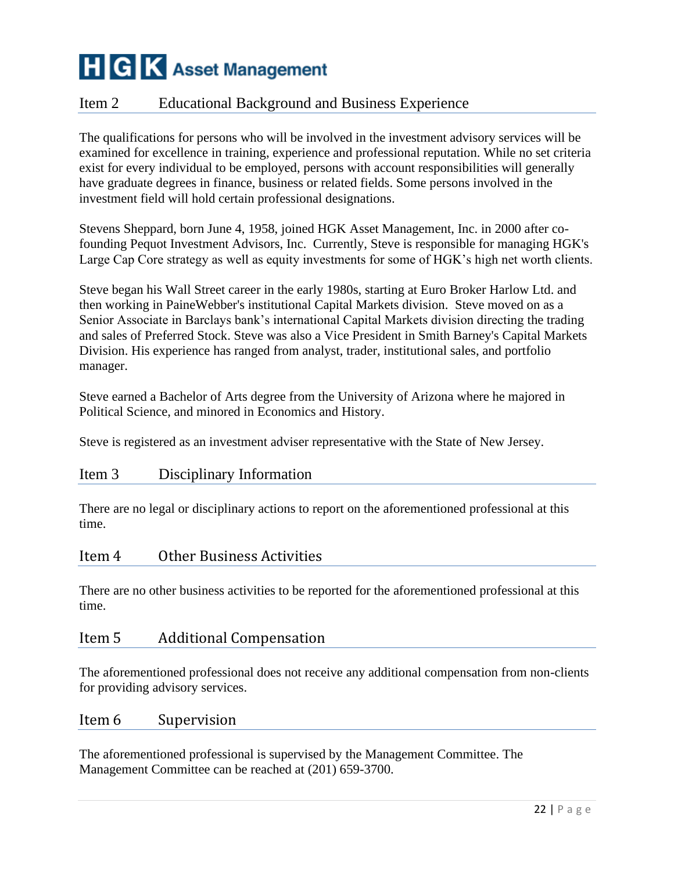## Item 2 Educational Background and Business Experience

The qualifications for persons who will be involved in the investment advisory services will be examined for excellence in training, experience and professional reputation. While no set criteria exist for every individual to be employed, persons with account responsibilities will generally have graduate degrees in finance, business or related fields. Some persons involved in the investment field will hold certain professional designations.

Stevens Sheppard, born June 4, 1958, joined HGK Asset Management, Inc. in 2000 after cofounding Pequot Investment Advisors, Inc. Currently, Steve is responsible for managing HGK's Large Cap Core strategy as well as equity investments for some of HGK's high net worth clients.

Steve began his Wall Street career in the early 1980s, starting at Euro Broker Harlow Ltd. and then working in PaineWebber's institutional Capital Markets division. Steve moved on as a Senior Associate in Barclays bank's international Capital Markets division directing the trading and sales of Preferred Stock. Steve was also a Vice President in Smith Barney's Capital Markets Division. His experience has ranged from analyst, trader, institutional sales, and portfolio manager.

Steve earned a Bachelor of Arts degree from the University of Arizona where he majored in Political Science, and minored in Economics and History.

Steve is registered as an investment adviser representative with the State of New Jersey.

### Item 3 Disciplinary Information

There are no legal or disciplinary actions to report on the aforementioned professional at this time.

#### Item 4 Other Business Activities

There are no other business activities to be reported for the aforementioned professional at this time.

#### Item 5 Additional Compensation

The aforementioned professional does not receive any additional compensation from non-clients for providing advisory services.

#### Item 6 Supervision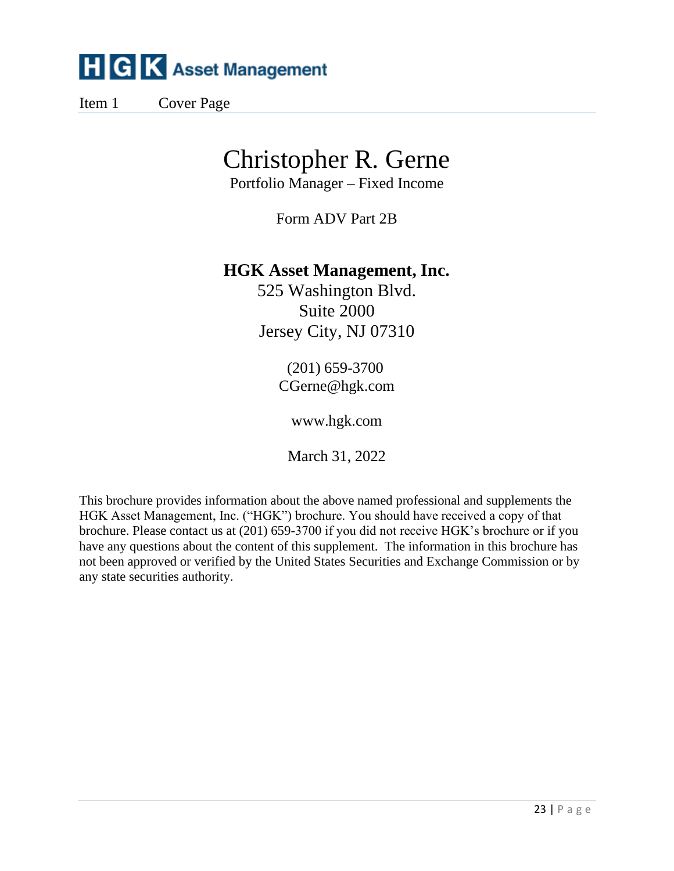Item 1 Cover Page

## Christopher R. Gerne

Portfolio Manager – Fixed Income

Form ADV Part 2B

## **HGK Asset Management, Inc.**

525 Washington Blvd. Suite 2000 Jersey City, NJ 07310

> (201) 659-3700 CGerne@hgk.com

> > www.hgk.com

March 31, 2022

This brochure provides information about the above named professional and supplements the HGK Asset Management, Inc. ("HGK") brochure. You should have received a copy of that brochure. Please contact us at (201) 659-3700 if you did not receive HGK's brochure or if you have any questions about the content of this supplement. The information in this brochure has not been approved or verified by the United States Securities and Exchange Commission or by any state securities authority.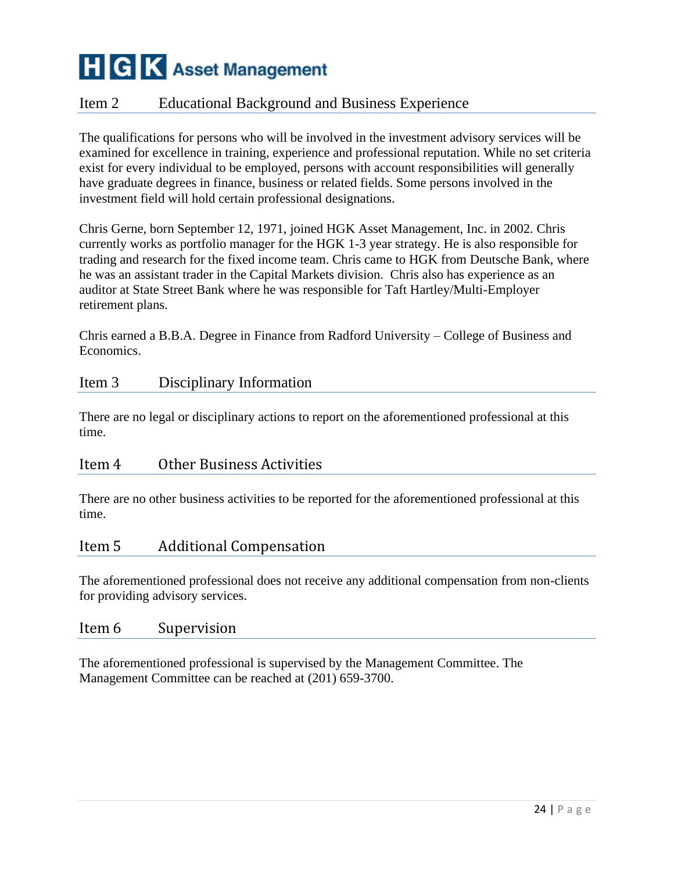## Item 2 Educational Background and Business Experience

The qualifications for persons who will be involved in the investment advisory services will be examined for excellence in training, experience and professional reputation. While no set criteria exist for every individual to be employed, persons with account responsibilities will generally have graduate degrees in finance, business or related fields. Some persons involved in the investment field will hold certain professional designations.

Chris Gerne, born September 12, 1971, joined HGK Asset Management, Inc. in 2002. Chris currently works as portfolio manager for the HGK 1-3 year strategy. He is also responsible for trading and research for the fixed income team. Chris came to HGK from Deutsche Bank, where he was an assistant trader in the Capital Markets division. Chris also has experience as an auditor at State Street Bank where he was responsible for Taft Hartley/Multi-Employer retirement plans.

Chris earned a B.B.A. Degree in Finance from Radford University – College of Business and Economics.

#### Item 3 Disciplinary Information

There are no legal or disciplinary actions to report on the aforementioned professional at this time.

#### Item 4 Other Business Activities

There are no other business activities to be reported for the aforementioned professional at this time.

### Item 5 Additional Compensation

The aforementioned professional does not receive any additional compensation from non-clients for providing advisory services.

#### Item 6 Supervision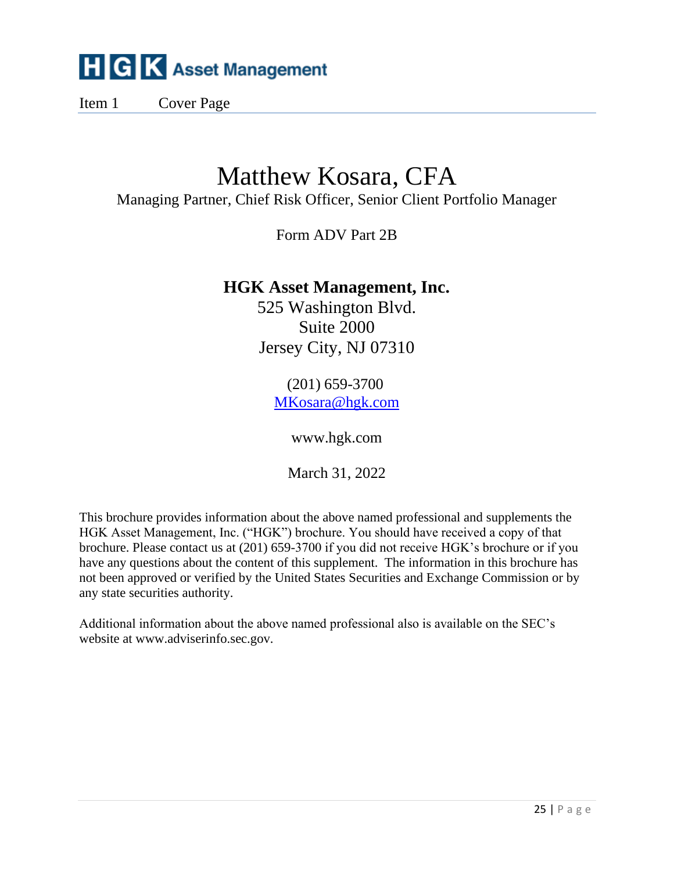Item 1 Cover Page

## Matthew Kosara, CFA

Managing Partner, Chief Risk Officer, Senior Client Portfolio Manager

Form ADV Part 2B

## **HGK Asset Management, Inc.**

525 Washington Blvd. Suite 2000 Jersey City, NJ 07310

> (201) 659-3700 [MKosara@hgk.com](mailto:MKosara@hgk.com)

> > www.hgk.com

March 31, 2022

This brochure provides information about the above named professional and supplements the HGK Asset Management, Inc. ("HGK") brochure. You should have received a copy of that brochure. Please contact us at (201) 659-3700 if you did not receive HGK's brochure or if you have any questions about the content of this supplement. The information in this brochure has not been approved or verified by the United States Securities and Exchange Commission or by any state securities authority.

Additional information about the above named professional also is available on the SEC's website at www.adviserinfo.sec.gov.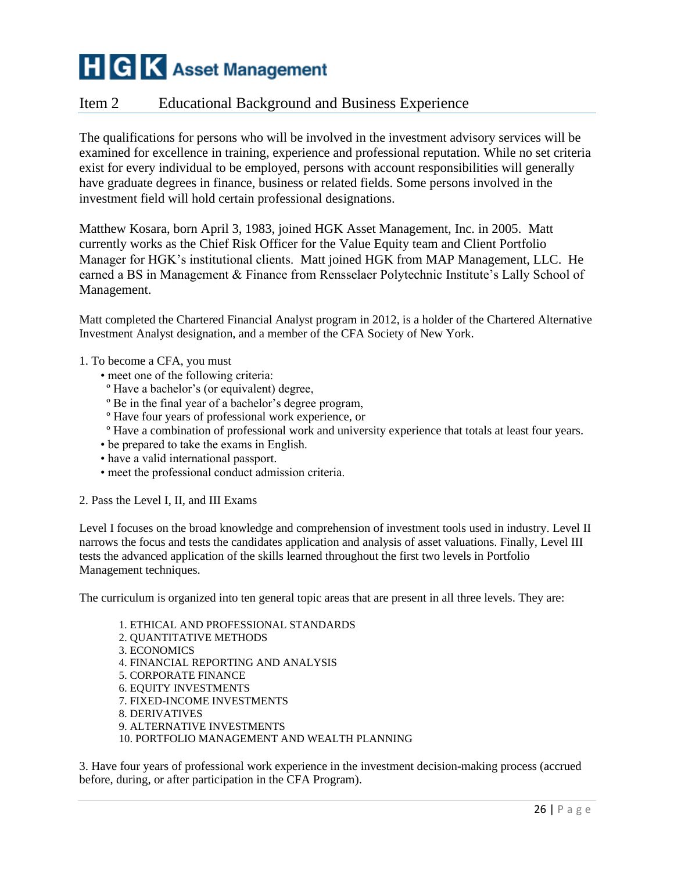### Item 2 Educational Background and Business Experience

The qualifications for persons who will be involved in the investment advisory services will be examined for excellence in training, experience and professional reputation. While no set criteria exist for every individual to be employed, persons with account responsibilities will generally have graduate degrees in finance, business or related fields. Some persons involved in the investment field will hold certain professional designations.

Matthew Kosara, born April 3, 1983, joined HGK Asset Management, Inc. in 2005. Matt currently works as the Chief Risk Officer for the Value Equity team and Client Portfolio Manager for HGK's institutional clients. Matt joined HGK from MAP Management, LLC. He earned a BS in Management & Finance from Rensselaer Polytechnic Institute's Lally School of Management.

Matt completed the Chartered Financial Analyst program in 2012, is a holder of the Chartered Alternative Investment Analyst designation, and a member of the CFA Society of New York.

- 1. To become a CFA, you must
	- meet one of the following criteria:
	- º Have a bachelor's (or equivalent) degree,
	- º Be in the final year of a bachelor's degree program,
	- º Have four years of professional work experience, or
	- º Have a combination of professional work and university experience that totals at least four years.
	- be prepared to take the exams in English.
	- have a valid international passport.
	- meet the professional conduct admission criteria.
- 2. Pass the Level I, II, and III Exams

Level I focuses on the broad knowledge and comprehension of investment tools used in industry. Level II narrows the focus and tests the candidates application and analysis of asset valuations. Finally, Level III tests the advanced application of the skills learned throughout the first two levels in Portfolio Management techniques.

The curriculum is organized into ten general topic areas that are present in all three levels. They are:

1. ETHICAL AND PROFESSIONAL STANDARDS 2. QUANTITATIVE METHODS 3. ECONOMICS 4. FINANCIAL REPORTING AND ANALYSIS 5. CORPORATE FINANCE 6. EQUITY INVESTMENTS 7. FIXED-INCOME INVESTMENTS 8. DERIVATIVES 9. ALTERNATIVE INVESTMENTS 10. PORTFOLIO MANAGEMENT AND WEALTH PLANNING

3. Have four years of professional work experience in the investment decision-making process (accrued before, during, or after participation in the CFA Program).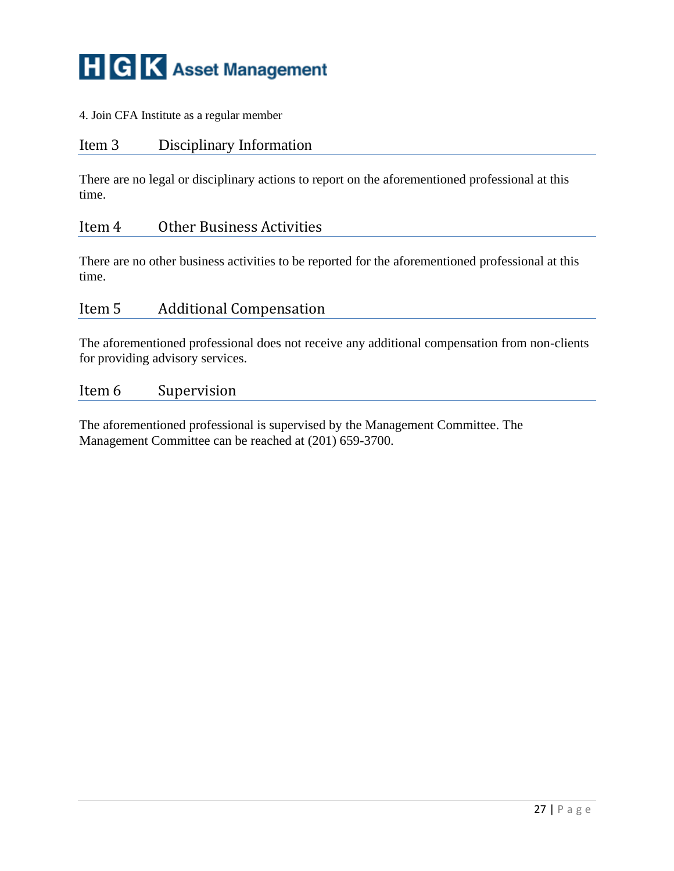4. Join CFA Institute as a regular member

#### Item 3 Disciplinary Information

There are no legal or disciplinary actions to report on the aforementioned professional at this time.

## Item 4 Other Business Activities

There are no other business activities to be reported for the aforementioned professional at this time.

#### Item 5 Additional Compensation

The aforementioned professional does not receive any additional compensation from non-clients for providing advisory services.

#### Item 6 Supervision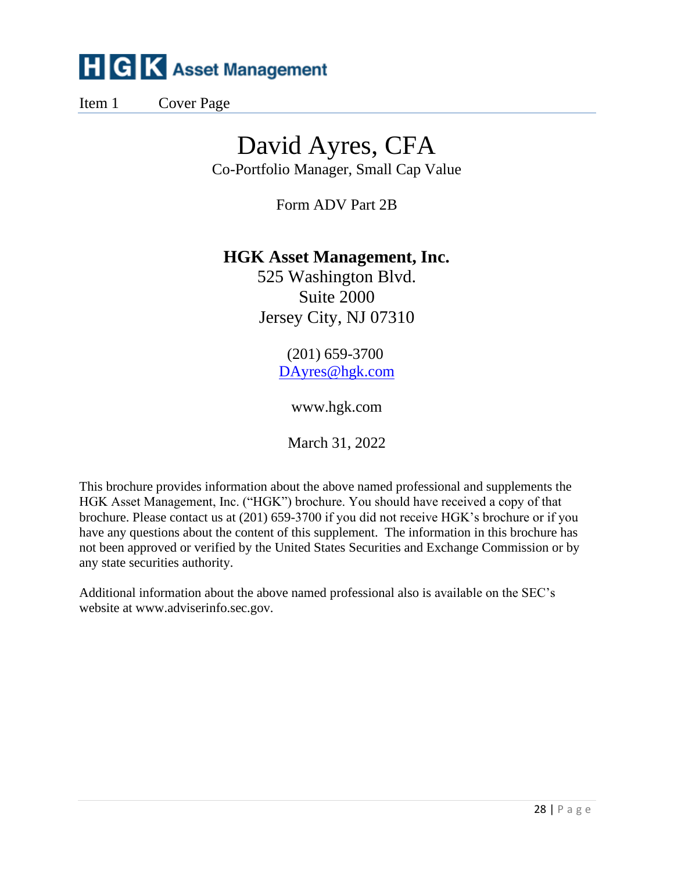Item 1 Cover Page

## David Ayres, CFA

Co-Portfolio Manager, Small Cap Value

Form ADV Part 2B

## **HGK Asset Management, Inc.**

525 Washington Blvd. Suite 2000 Jersey City, NJ 07310

> (201) 659-3700 [DAyres@hgk.com](mailto:DAyres@hgk.com)

> > www.hgk.com

March 31, 2022

This brochure provides information about the above named professional and supplements the HGK Asset Management, Inc. ("HGK") brochure. You should have received a copy of that brochure. Please contact us at (201) 659-3700 if you did not receive HGK's brochure or if you have any questions about the content of this supplement. The information in this brochure has not been approved or verified by the United States Securities and Exchange Commission or by any state securities authority.

Additional information about the above named professional also is available on the SEC's website at www.adviserinfo.sec.gov.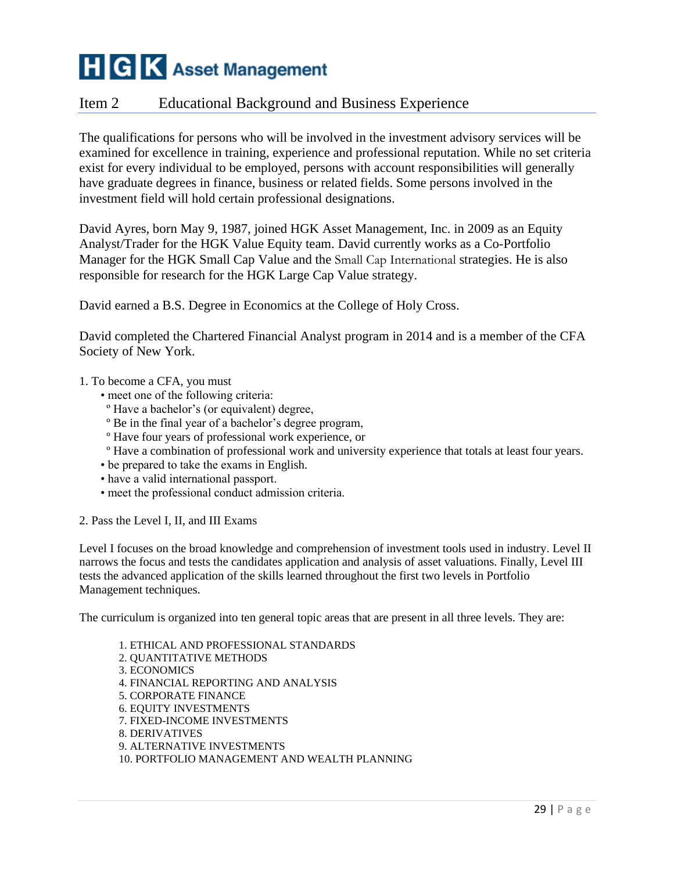### Item 2 Educational Background and Business Experience

The qualifications for persons who will be involved in the investment advisory services will be examined for excellence in training, experience and professional reputation. While no set criteria exist for every individual to be employed, persons with account responsibilities will generally have graduate degrees in finance, business or related fields. Some persons involved in the investment field will hold certain professional designations.

David Ayres, born May 9, 1987, joined HGK Asset Management, Inc. in 2009 as an Equity Analyst/Trader for the HGK Value Equity team. David currently works as a Co-Portfolio Manager for the HGK Small Cap Value and the Small Cap International strategies. He is also responsible for research for the HGK Large Cap Value strategy.

David earned a B.S. Degree in Economics at the College of Holy Cross.

David completed the Chartered Financial Analyst program in 2014 and is a member of the CFA Society of New York.

- 1. To become a CFA, you must
	- meet one of the following criteria:
	- º Have a bachelor's (or equivalent) degree,
	- º Be in the final year of a bachelor's degree program,
	- º Have four years of professional work experience, or
	- º Have a combination of professional work and university experience that totals at least four years.
	- be prepared to take the exams in English.
	- have a valid international passport.
	- meet the professional conduct admission criteria.
- 2. Pass the Level I, II, and III Exams

Level I focuses on the broad knowledge and comprehension of investment tools used in industry. Level II narrows the focus and tests the candidates application and analysis of asset valuations. Finally, Level III tests the advanced application of the skills learned throughout the first two levels in Portfolio Management techniques.

The curriculum is organized into ten general topic areas that are present in all three levels. They are:

1. ETHICAL AND PROFESSIONAL STANDARDS 2. QUANTITATIVE METHODS 3. ECONOMICS 4. FINANCIAL REPORTING AND ANALYSIS 5. CORPORATE FINANCE 6. EQUITY INVESTMENTS 7. FIXED-INCOME INVESTMENTS 8. DERIVATIVES 9. ALTERNATIVE INVESTMENTS 10. PORTFOLIO MANAGEMENT AND WEALTH PLANNING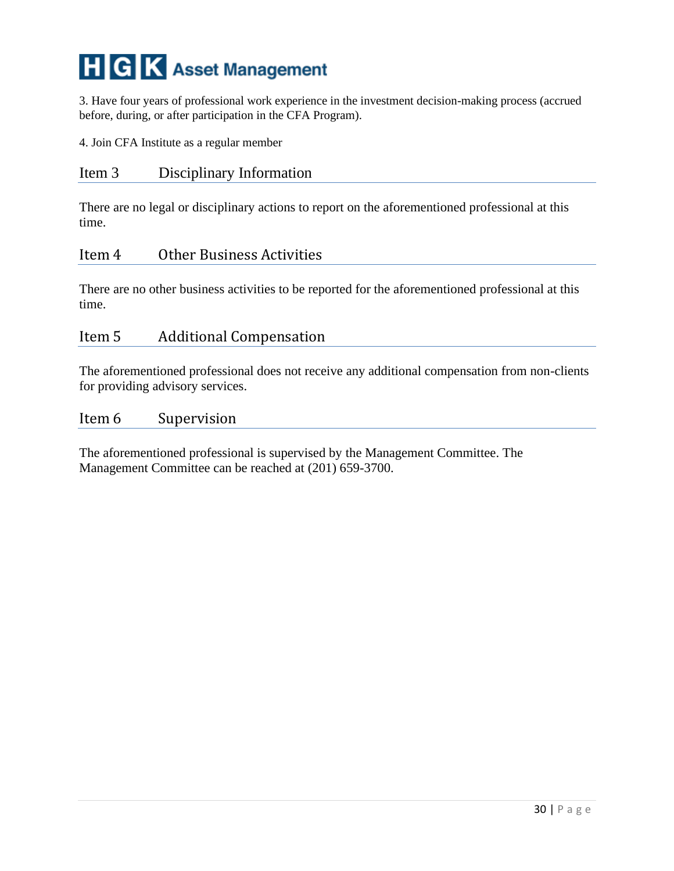3. Have four years of professional work experience in the investment decision-making process (accrued before, during, or after participation in the CFA Program).

4. Join CFA Institute as a regular member

#### Item 3 Disciplinary Information

There are no legal or disciplinary actions to report on the aforementioned professional at this time.

#### Item 4 Other Business Activities

There are no other business activities to be reported for the aforementioned professional at this time.

#### Item 5 Additional Compensation

The aforementioned professional does not receive any additional compensation from non-clients for providing advisory services.

#### Item 6 Supervision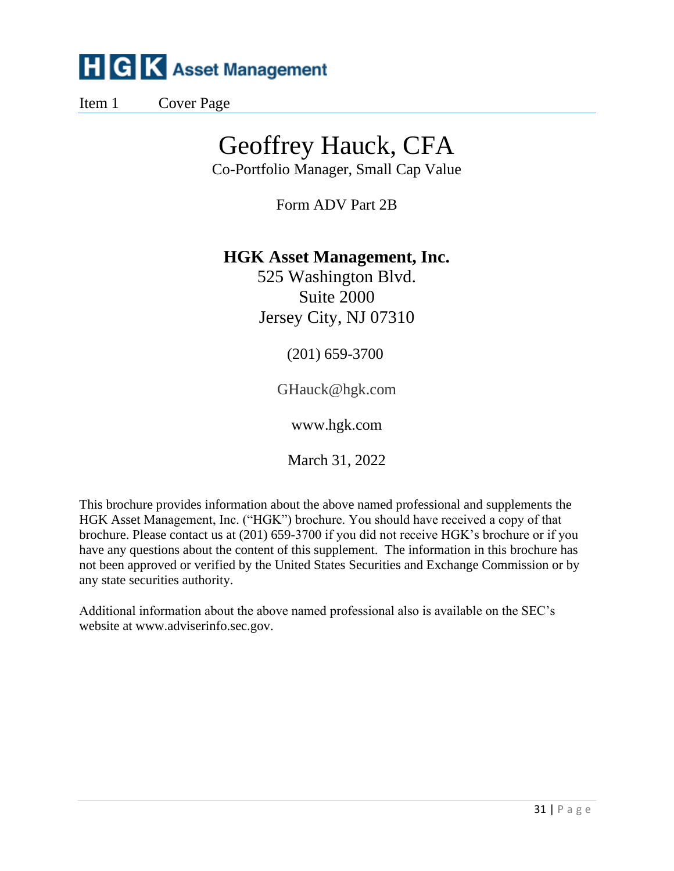Item 1 Cover Page

## Geoffrey Hauck, CFA

Co-Portfolio Manager, Small Cap Value

Form ADV Part 2B

## **HGK Asset Management, Inc.**

525 Washington Blvd. Suite 2000 Jersey City, NJ 07310

(201) 659-3700

GHauck@hgk.com

www.hgk.com

March 31, 2022

This brochure provides information about the above named professional and supplements the HGK Asset Management, Inc. ("HGK") brochure. You should have received a copy of that brochure. Please contact us at (201) 659-3700 if you did not receive HGK's brochure or if you have any questions about the content of this supplement. The information in this brochure has not been approved or verified by the United States Securities and Exchange Commission or by any state securities authority.

Additional information about the above named professional also is available on the SEC's website at www.adviserinfo.sec.gov.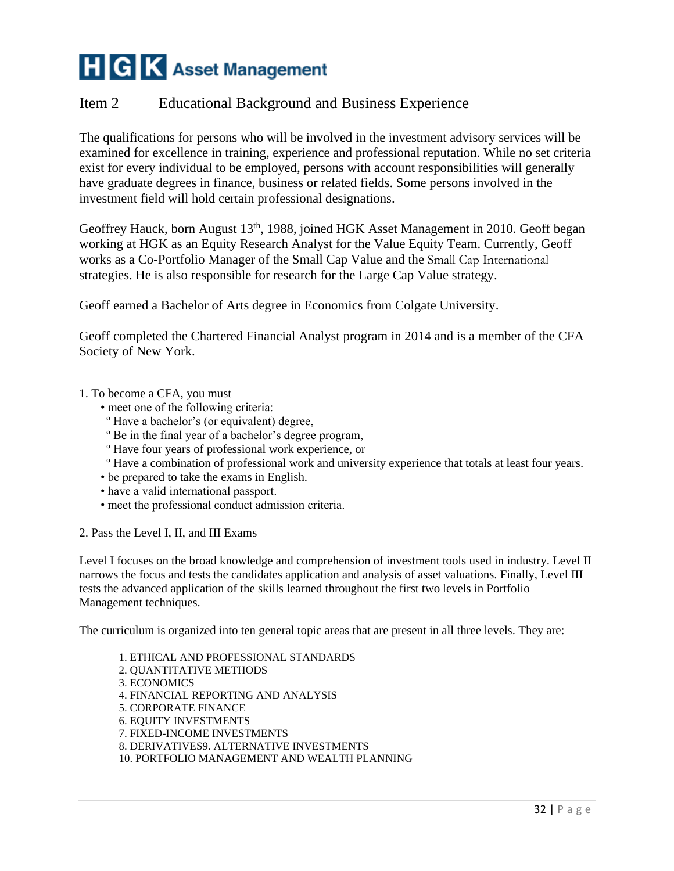## Item 2 Educational Background and Business Experience

The qualifications for persons who will be involved in the investment advisory services will be examined for excellence in training, experience and professional reputation. While no set criteria exist for every individual to be employed, persons with account responsibilities will generally have graduate degrees in finance, business or related fields. Some persons involved in the investment field will hold certain professional designations.

Geoffrey Hauck, born August 13<sup>th</sup>, 1988, joined HGK Asset Management in 2010. Geoff began working at HGK as an Equity Research Analyst for the Value Equity Team. Currently, Geoff works as a Co-Portfolio Manager of the Small Cap Value and the Small Cap International strategies. He is also responsible for research for the Large Cap Value strategy.

Geoff earned a Bachelor of Arts degree in Economics from Colgate University.

Geoff completed the Chartered Financial Analyst program in 2014 and is a member of the CFA Society of New York.

- 1. To become a CFA, you must
	- meet one of the following criteria:
	- º Have a bachelor's (or equivalent) degree,
	- º Be in the final year of a bachelor's degree program,
	- º Have four years of professional work experience, or
	- º Have a combination of professional work and university experience that totals at least four years.
	- be prepared to take the exams in English.
	- have a valid international passport.
	- meet the professional conduct admission criteria.
- 2. Pass the Level I, II, and III Exams

Level I focuses on the broad knowledge and comprehension of investment tools used in industry. Level II narrows the focus and tests the candidates application and analysis of asset valuations. Finally, Level III tests the advanced application of the skills learned throughout the first two levels in Portfolio Management techniques.

The curriculum is organized into ten general topic areas that are present in all three levels. They are:

1. ETHICAL AND PROFESSIONAL STANDARDS 2. QUANTITATIVE METHODS 3. ECONOMICS 4. FINANCIAL REPORTING AND ANALYSIS 5. CORPORATE FINANCE 6. EQUITY INVESTMENTS 7. FIXED-INCOME INVESTMENTS 8. DERIVATIVES9. ALTERNATIVE INVESTMENTS 10. PORTFOLIO MANAGEMENT AND WEALTH PLANNING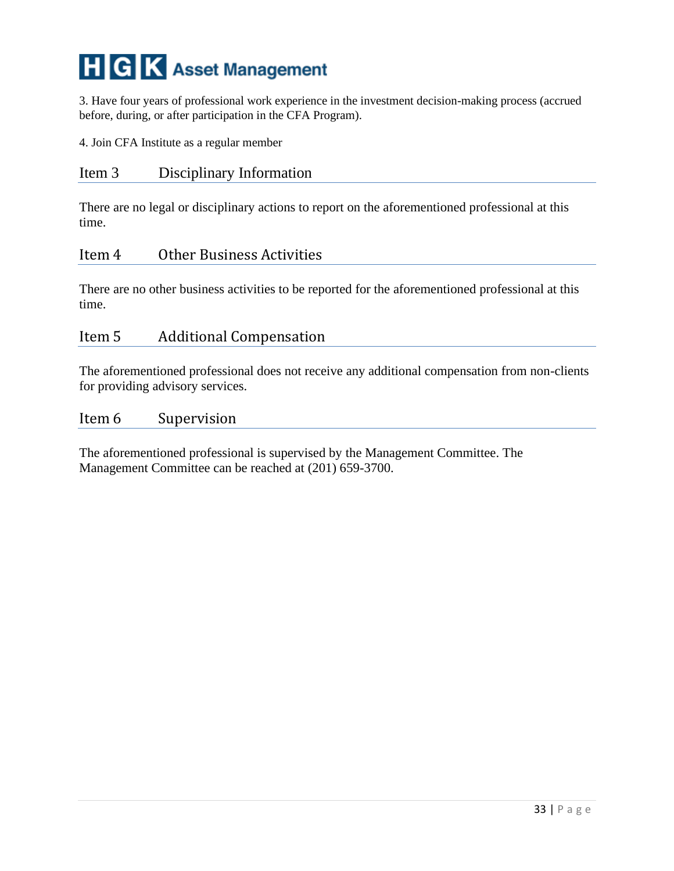3. Have four years of professional work experience in the investment decision-making process (accrued before, during, or after participation in the CFA Program).

4. Join CFA Institute as a regular member

#### Item 3 Disciplinary Information

There are no legal or disciplinary actions to report on the aforementioned professional at this time.

#### Item 4 Other Business Activities

There are no other business activities to be reported for the aforementioned professional at this time.

#### Item 5 Additional Compensation

The aforementioned professional does not receive any additional compensation from non-clients for providing advisory services.

#### Item 6 Supervision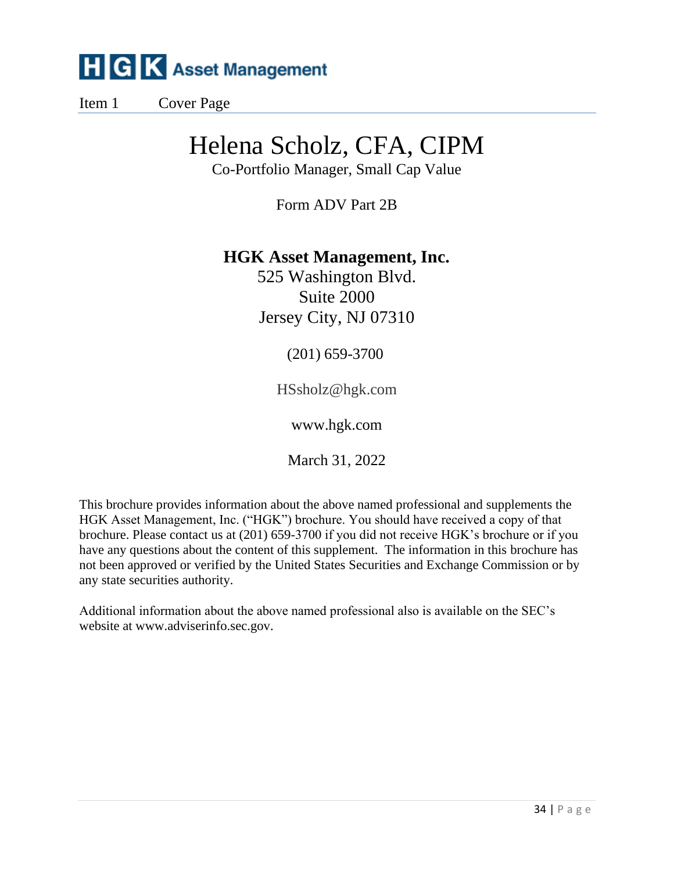Item 1 Cover Page

## Helena Scholz, CFA, CIPM

Co-Portfolio Manager, Small Cap Value

Form ADV Part 2B

## **HGK Asset Management, Inc.**

525 Washington Blvd. Suite 2000 Jersey City, NJ 07310

(201) 659-3700

HSsholz@hgk.com

www.hgk.com

March 31, 2022

This brochure provides information about the above named professional and supplements the HGK Asset Management, Inc. ("HGK") brochure. You should have received a copy of that brochure. Please contact us at (201) 659-3700 if you did not receive HGK's brochure or if you have any questions about the content of this supplement. The information in this brochure has not been approved or verified by the United States Securities and Exchange Commission or by any state securities authority.

Additional information about the above named professional also is available on the SEC's website at www.adviserinfo.sec.gov.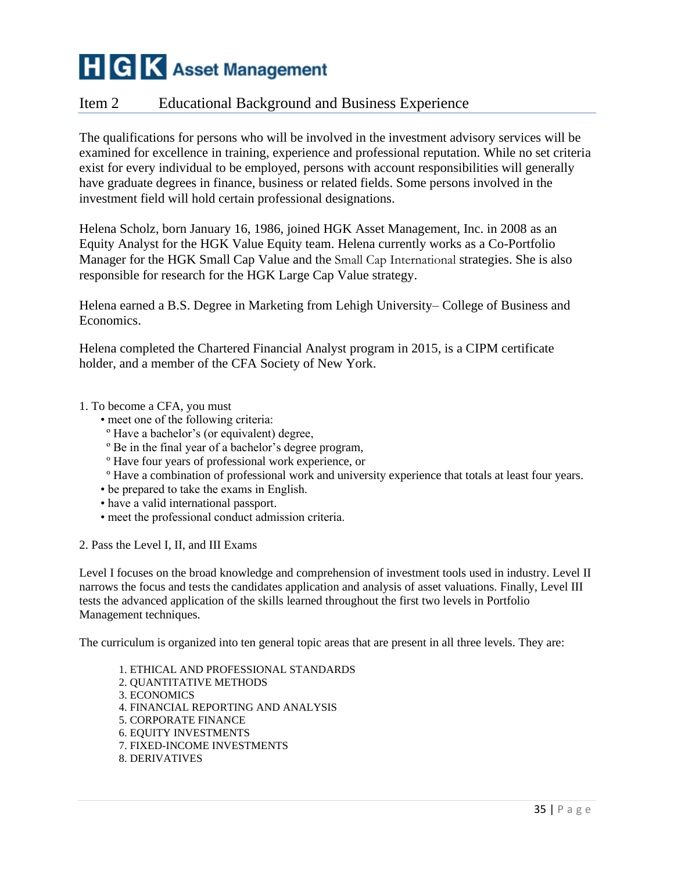### Item 2 Educational Background and Business Experience

The qualifications for persons who will be involved in the investment advisory services will be examined for excellence in training, experience and professional reputation. While no set criteria exist for every individual to be employed, persons with account responsibilities will generally have graduate degrees in finance, business or related fields. Some persons involved in the investment field will hold certain professional designations.

Helena Scholz, born January 16, 1986, joined HGK Asset Management, Inc. in 2008 as an Equity Analyst for the HGK Value Equity team. Helena currently works as a Co-Portfolio Manager for the HGK Small Cap Value and the Small Cap International strategies. She is also responsible for research for the HGK Large Cap Value strategy.

Helena earned a B.S. Degree in Marketing from Lehigh University– College of Business and Economics.

Helena completed the Chartered Financial Analyst program in 2015, is a CIPM certificate holder, and a member of the CFA Society of New York.

#### 1. To become a CFA, you must

- meet one of the following criteria:
- º Have a bachelor's (or equivalent) degree,
- º Be in the final year of a bachelor's degree program,
- º Have four years of professional work experience, or
- º Have a combination of professional work and university experience that totals at least four years.
- be prepared to take the exams in English.
- have a valid international passport.
- meet the professional conduct admission criteria.

2. Pass the Level I, II, and III Exams

Level I focuses on the broad knowledge and comprehension of investment tools used in industry. Level II narrows the focus and tests the candidates application and analysis of asset valuations. Finally, Level III tests the advanced application of the skills learned throughout the first two levels in Portfolio Management techniques.

The curriculum is organized into ten general topic areas that are present in all three levels. They are:

1. ETHICAL AND PROFESSIONAL STANDARDS 2. QUANTITATIVE METHODS 3. ECONOMICS 4. FINANCIAL REPORTING AND ANALYSIS 5. CORPORATE FINANCE 6. EQUITY INVESTMENTS 7. FIXED-INCOME INVESTMENTS 8. DERIVATIVES